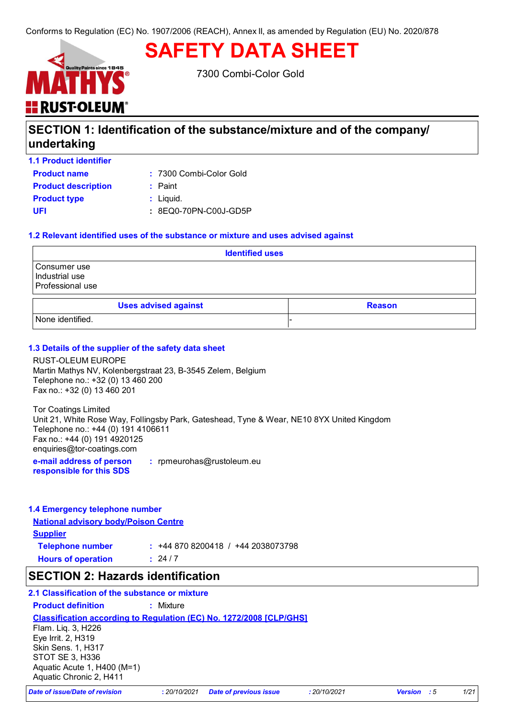# **SAFETY DATA SHEET**



7300 Combi-Color Gold

## **SECTION 1: Identification of the substance/mixture and of the company/ undertaking**

| <b>1.1 Product identifier</b> |                         |
|-------------------------------|-------------------------|
| <b>Product name</b>           | : 7300 Combi-Color Gold |
| <b>Product description</b>    | $:$ Paint               |
| <b>Product type</b>           | $:$ Liquid.             |
| UFI                           | : 8EQ0-70PN-C00J-GD5P   |
|                               |                         |

#### **1.2 Relevant identified uses of the substance or mixture and uses advised against**

| <b>Identified uses</b>                             |  |
|----------------------------------------------------|--|
| Consumer use<br>Industrial use<br>Professional use |  |
| <b>Uses advised against</b><br><b>Reason</b>       |  |
| None identified.                                   |  |

#### **1.3 Details of the supplier of the safety data sheet**

RUST-OLEUM EUROPE Martin Mathys NV, Kolenbergstraat 23, B-3545 Zelem, Belgium Telephone no.: +32 (0) 13 460 200 Fax no.: +32 (0) 13 460 201

Tor Coatings Limited Unit 21, White Rose Way, Follingsby Park, Gateshead, Tyne & Wear, NE10 8YX United Kingdom Telephone no.: +44 (0) 191 4106611 Fax no.: +44 (0) 191 4920125 enquiries@tor-coatings.com

**e-mail address of person responsible for this SDS :** rpmeurohas@rustoleum.eu

#### **1.4 Emergency telephone number**

**National advisory body/Poison Centre Supplier Telephone number :** +44 870 8200418 / +44 2038073798  $: 24/7$ 

**Hours of operation :**

### **SECTION 2: Hazards identification**

#### **2.1 Classification of the substance or mixture**

**Product definition :** Mixture

#### **Classification according to Regulation (EC) No. 1272/2008 [CLP/GHS]**

Flam. Liq. 3, H226 Eye Irrit. 2, H319 Skin Sens. 1, H317 STOT SE 3, H336 Aquatic Acute 1, H400 (M=1) Aquatic Chronic 2, H411

*Date of issue/Date of revision* **:** *20/10/2021 Date of previous issue : 20/10/2021 Version : 5 1/21*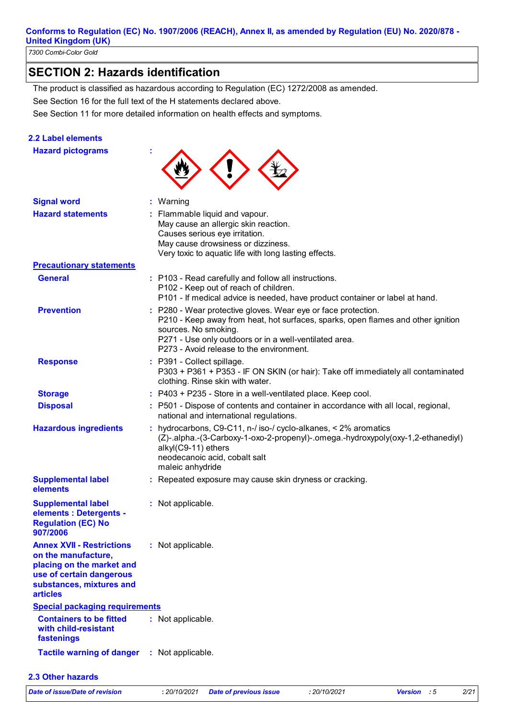*7300 Combi-Color Gold* 

## **SECTION 2: Hazards identification**

See Section 16 for the full text of the H statements declared above. The product is classified as hazardous according to Regulation (EC) 1272/2008 as amended.

See Section 11 for more detailed information on health effects and symptoms.

#### **2.2 Label elements**

| <b>Hazard pictograms</b>                                                                                                                                        |                                                                                                                                                                                                                                                                                 |  |
|-----------------------------------------------------------------------------------------------------------------------------------------------------------------|---------------------------------------------------------------------------------------------------------------------------------------------------------------------------------------------------------------------------------------------------------------------------------|--|
| <b>Signal word</b>                                                                                                                                              | : Warning                                                                                                                                                                                                                                                                       |  |
| <b>Hazard statements</b>                                                                                                                                        | : Flammable liquid and vapour.<br>May cause an allergic skin reaction.<br>Causes serious eye irritation.<br>May cause drowsiness or dizziness.<br>Very toxic to aquatic life with long lasting effects.                                                                         |  |
| <b>Precautionary statements</b>                                                                                                                                 |                                                                                                                                                                                                                                                                                 |  |
| <b>General</b>                                                                                                                                                  | : P103 - Read carefully and follow all instructions.<br>P102 - Keep out of reach of children.<br>P101 - If medical advice is needed, have product container or label at hand.                                                                                                   |  |
| <b>Prevention</b>                                                                                                                                               | : P280 - Wear protective gloves. Wear eye or face protection.<br>P210 - Keep away from heat, hot surfaces, sparks, open flames and other ignition<br>sources. No smoking.<br>P271 - Use only outdoors or in a well-ventilated area.<br>P273 - Avoid release to the environment. |  |
| <b>Response</b>                                                                                                                                                 | : P391 - Collect spillage.<br>P303 + P361 + P353 - IF ON SKIN (or hair): Take off immediately all contaminated<br>clothing. Rinse skin with water.                                                                                                                              |  |
| <b>Storage</b>                                                                                                                                                  | : P403 + P235 - Store in a well-ventilated place. Keep cool.                                                                                                                                                                                                                    |  |
| <b>Disposal</b>                                                                                                                                                 | : P501 - Dispose of contents and container in accordance with all local, regional,<br>national and international regulations.                                                                                                                                                   |  |
| <b>Hazardous ingredients</b>                                                                                                                                    | : hydrocarbons, C9-C11, n-/ iso-/ cyclo-alkanes, $\leq$ 2% aromatics<br>(Z)-.alpha.-(3-Carboxy-1-oxo-2-propenyl)-.omega.-hydroxypoly(oxy-1,2-ethanediyl)<br>alkyl(C9-11) ethers<br>neodecanoic acid, cobalt salt<br>maleic anhydride                                            |  |
| <b>Supplemental label</b><br>elements                                                                                                                           | : Repeated exposure may cause skin dryness or cracking.                                                                                                                                                                                                                         |  |
| <b>Supplemental label</b><br>elements : Detergents -<br><b>Regulation (EC) No</b><br>907/2006                                                                   | : Not applicable.                                                                                                                                                                                                                                                               |  |
| <b>Annex XVII - Restrictions</b><br>on the manufacture,<br>placing on the market and<br>use of certain dangerous<br>substances, mixtures and<br><b>articles</b> | : Not applicable.                                                                                                                                                                                                                                                               |  |
| <b>Special packaging requirements</b>                                                                                                                           |                                                                                                                                                                                                                                                                                 |  |
| <b>Containers to be fitted</b><br>with child-resistant<br>fastenings                                                                                            | : Not applicable.                                                                                                                                                                                                                                                               |  |
| <b>Tactile warning of danger</b>                                                                                                                                | : Not applicable.                                                                                                                                                                                                                                                               |  |
| 2.3 Other hazards                                                                                                                                               |                                                                                                                                                                                                                                                                                 |  |

*Date of issue/Date of revision* **:** *20/10/2021 Date of previous issue : 20/10/2021 Version : 5 2/21*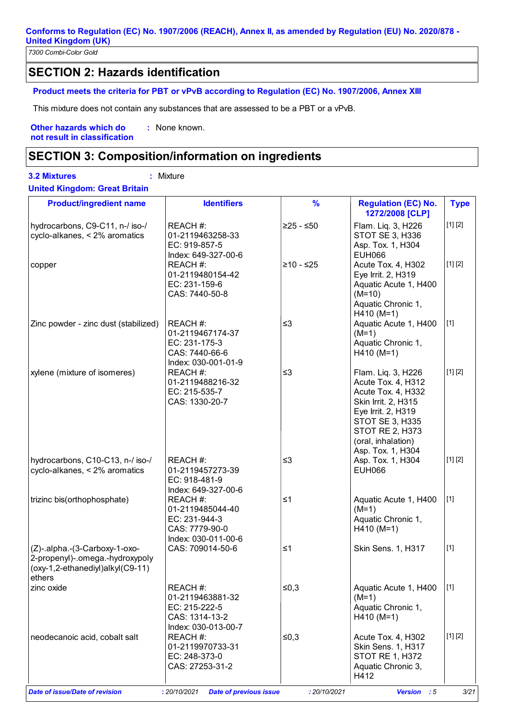*7300 Combi-Color Gold* 

## **SECTION 2: Hazards identification**

#### **Product meets the criteria for PBT or vPvB according to Regulation (EC) No. 1907/2006, Annex XIII**

This mixture does not contain any substances that are assessed to be a PBT or a vPvB.

**Other hazards which do : not result in classification** : None known.

### **SECTION 3: Composition/information on ingredients**

**3.2 Mixtures :** Mixture **United Kingdom: Great Britain**

| <b>Product/ingredient name</b>                                                                                 | <b>Identifiers</b>                                                                     | %            | <b>Regulation (EC) No.</b><br>1272/2008 [CLP]                                                                                                                                                       | <b>Type</b> |
|----------------------------------------------------------------------------------------------------------------|----------------------------------------------------------------------------------------|--------------|-----------------------------------------------------------------------------------------------------------------------------------------------------------------------------------------------------|-------------|
| hydrocarbons, C9-C11, n-/ iso-/<br>cyclo-alkanes, < 2% aromatics                                               | REACH #:<br>01-2119463258-33<br>EC: 919-857-5<br>Index: 649-327-00-6                   | ≥25 - ≤50    | Flam. Liq. 3, H226<br>STOT SE 3, H336<br>Asp. Tox. 1, H304<br><b>EUH066</b>                                                                                                                         | [1] [2]     |
| copper                                                                                                         | REACH #:<br>01-2119480154-42<br>EC: 231-159-6<br>CAS: 7440-50-8                        | $≥10 - ≤25$  | Acute Tox. 4, H302<br>Eye Irrit. 2, H319<br>Aquatic Acute 1, H400<br>$(M=10)$<br>Aquatic Chronic 1,<br>$H410 (M=1)$                                                                                 | [1] [2]     |
| Zinc powder - zinc dust (stabilized)                                                                           | REACH #:<br>01-2119467174-37<br>EC: 231-175-3<br>CAS: 7440-66-6<br>Index: 030-001-01-9 | $\leq$ 3     | Aquatic Acute 1, H400<br>$(M=1)$<br>Aquatic Chronic 1,<br>$H410 (M=1)$                                                                                                                              | $[1]$       |
| xylene (mixture of isomeres)                                                                                   | REACH #:<br>01-2119488216-32<br>EC: 215-535-7<br>CAS: 1330-20-7                        | $\leq$ 3     | Flam. Liq. 3, H226<br>Acute Tox. 4, H312<br>Acute Tox. 4, H332<br>Skin Irrit. 2, H315<br>Eye Irrit. 2, H319<br>STOT SE 3, H335<br><b>STOT RE 2, H373</b><br>(oral, inhalation)<br>Asp. Tox. 1, H304 | [1] [2]     |
| hydrocarbons, C10-C13, n-/ iso-/<br>cyclo-alkanes, < 2% aromatics                                              | REACH #:<br>01-2119457273-39<br>EC: 918-481-9<br>Index: 649-327-00-6                   | $\leq$ 3     | Asp. Tox. 1, H304<br><b>EUH066</b>                                                                                                                                                                  | [1] [2]     |
| trizinc bis(orthophosphate)                                                                                    | REACH #:<br>01-2119485044-40<br>EC: 231-944-3<br>CAS: 7779-90-0<br>Index: 030-011-00-6 | $\leq 1$     | Aquatic Acute 1, H400<br>$(M=1)$<br>Aquatic Chronic 1,<br>$H410 (M=1)$                                                                                                                              | $[1]$       |
| (Z)-.alpha.-(3-Carboxy-1-oxo-<br>2-propenyl)-.omega.-hydroxypoly<br>(oxy-1,2-ethanediyl)alkyl(C9-11)<br>ethers | CAS: 709014-50-6                                                                       | $\leq 1$     | Skin Sens. 1, H317                                                                                                                                                                                  | $[1]$       |
| zinc oxide                                                                                                     | REACH #:<br>01-2119463881-32<br>EC: 215-222-5<br>CAS: 1314-13-2<br>Index: 030-013-00-7 | ≤ $0,3$      | Aquatic Acute 1, H400<br>$(M=1)$<br>Aquatic Chronic 1,<br>$H410 (M=1)$                                                                                                                              | $[1]$       |
| neodecanoic acid, cobalt salt                                                                                  | REACH #:<br>01-2119970733-31<br>EC: 248-373-0<br>CAS: 27253-31-2                       | ≤ $0,3$      | Acute Tox. 4, H302<br>Skin Sens. 1, H317<br><b>STOT RE 1, H372</b><br>Aquatic Chronic 3,<br>H412                                                                                                    | [1] [2]     |
| <b>Date of issue/Date of revision</b>                                                                          | : 20/10/2021<br><b>Date of previous issue</b>                                          | : 20/10/2021 | Version : 5                                                                                                                                                                                         | 3/21        |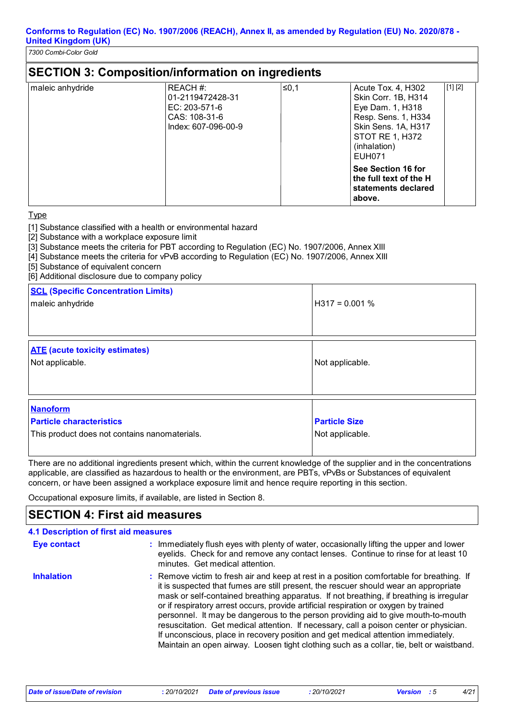*7300 Combi-Color Gold* 

|                  | <b>SECTION 3: Composition/information on ingredients</b>                                |       |                                                                                                                                                          |         |
|------------------|-----------------------------------------------------------------------------------------|-------|----------------------------------------------------------------------------------------------------------------------------------------------------------|---------|
| maleic anhydride | REACH #:<br>01-2119472428-31<br>$EC: 203-571-6$<br>CAS: 108-31-6<br>Index: 607-096-00-9 | ∣≤0.1 | Acute Tox. 4, H302<br>Skin Corr. 1B, H314<br>Eye Dam. 1, H318<br>Resp. Sens. 1, H334<br>Skin Sens. 1A, H317<br>STOT RE 1, H372<br>(inhalation)<br>EUH071 | [1] [2] |
|                  |                                                                                         |       | See Section 16 for<br>the full text of the H<br>statements declared<br>above.                                                                            |         |

**Type** 

[1] Substance classified with a health or environmental hazard

[2] Substance with a workplace exposure limit

[3] Substance meets the criteria for PBT according to Regulation (EC) No. 1907/2006, Annex XIII

[4] Substance meets the criteria for vPvB according to Regulation (EC) No. 1907/2006, Annex XIII

[5] Substance of equivalent concern

[6] Additional disclosure due to company policy

| <b>SCL (Specific Concentration Limits)</b><br>maleic anhydride                                      | $H317 = 0.001 %$                        |
|-----------------------------------------------------------------------------------------------------|-----------------------------------------|
| <b>ATE</b> (acute toxicity estimates)<br>Not applicable.                                            | Not applicable.                         |
| <b>Nanoform</b><br><b>Particle characteristics</b><br>This product does not contains nanomaterials. | <b>Particle Size</b><br>Not applicable. |

There are no additional ingredients present which, within the current knowledge of the supplier and in the concentrations applicable, are classified as hazardous to health or the environment, are PBTs, vPvBs or Substances of equivalent concern, or have been assigned a workplace exposure limit and hence require reporting in this section.

Occupational exposure limits, if available, are listed in Section 8.

### **SECTION 4: First aid measures**

| 4.1 Description of first aid measures |                                                                                                                                                                                                                                                                                                                                                                                                                                                                                                                                                                                                                                                                                                                                      |
|---------------------------------------|--------------------------------------------------------------------------------------------------------------------------------------------------------------------------------------------------------------------------------------------------------------------------------------------------------------------------------------------------------------------------------------------------------------------------------------------------------------------------------------------------------------------------------------------------------------------------------------------------------------------------------------------------------------------------------------------------------------------------------------|
| <b>Eye contact</b>                    | : Immediately flush eyes with plenty of water, occasionally lifting the upper and lower<br>eyelids. Check for and remove any contact lenses. Continue to rinse for at least 10<br>minutes. Get medical attention.                                                                                                                                                                                                                                                                                                                                                                                                                                                                                                                    |
| <b>Inhalation</b>                     | : Remove victim to fresh air and keep at rest in a position comfortable for breathing. If<br>it is suspected that fumes are still present, the rescuer should wear an appropriate<br>mask or self-contained breathing apparatus. If not breathing, if breathing is irregular<br>or if respiratory arrest occurs, provide artificial respiration or oxygen by trained<br>personnel. It may be dangerous to the person providing aid to give mouth-to-mouth<br>resuscitation. Get medical attention. If necessary, call a poison center or physician.<br>If unconscious, place in recovery position and get medical attention immediately.<br>Maintain an open airway. Loosen tight clothing such as a collar, tie, belt or waistband. |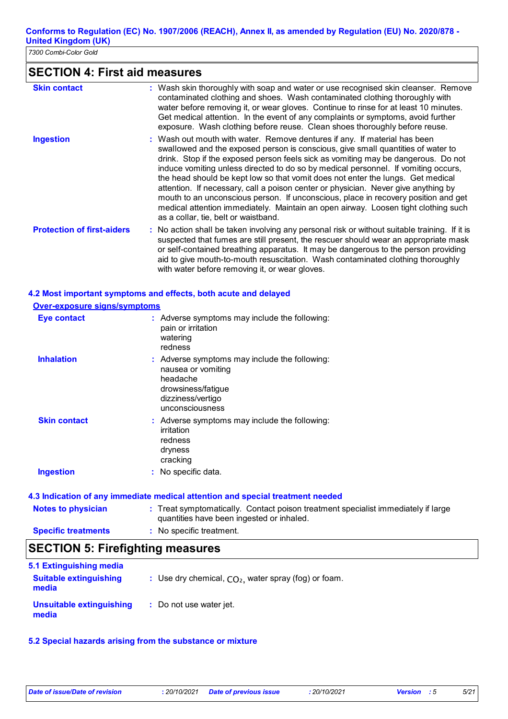*7300 Combi-Color Gold* 

## **SECTION 4: First aid measures**

| <b>Skin contact</b>               | : Wash skin thoroughly with soap and water or use recognised skin cleanser. Remove<br>contaminated clothing and shoes. Wash contaminated clothing thoroughly with<br>water before removing it, or wear gloves. Continue to rinse for at least 10 minutes.<br>Get medical attention. In the event of any complaints or symptoms, avoid further<br>exposure. Wash clothing before reuse. Clean shoes thoroughly before reuse.                                                                                                                                                                                                                                                                                                           |
|-----------------------------------|---------------------------------------------------------------------------------------------------------------------------------------------------------------------------------------------------------------------------------------------------------------------------------------------------------------------------------------------------------------------------------------------------------------------------------------------------------------------------------------------------------------------------------------------------------------------------------------------------------------------------------------------------------------------------------------------------------------------------------------|
| <b>Ingestion</b>                  | : Wash out mouth with water. Remove dentures if any. If material has been<br>swallowed and the exposed person is conscious, give small quantities of water to<br>drink. Stop if the exposed person feels sick as vomiting may be dangerous. Do not<br>induce vomiting unless directed to do so by medical personnel. If vomiting occurs,<br>the head should be kept low so that vomit does not enter the lungs. Get medical<br>attention. If necessary, call a poison center or physician. Never give anything by<br>mouth to an unconscious person. If unconscious, place in recovery position and get<br>medical attention immediately. Maintain an open airway. Loosen tight clothing such<br>as a collar, tie, belt or waistband. |
| <b>Protection of first-aiders</b> | : No action shall be taken involving any personal risk or without suitable training. If it is<br>suspected that fumes are still present, the rescuer should wear an appropriate mask<br>or self-contained breathing apparatus. It may be dangerous to the person providing<br>aid to give mouth-to-mouth resuscitation. Wash contaminated clothing thoroughly<br>with water before removing it, or wear gloves.                                                                                                                                                                                                                                                                                                                       |

#### **4.2 Most important symptoms and effects, both acute and delayed**

#### **Over-exposure signs/symptoms**

| <b>Eye contact</b>  | : Adverse symptoms may include the following:<br>pain or irritation<br>watering<br>redness                                                    |
|---------------------|-----------------------------------------------------------------------------------------------------------------------------------------------|
| <b>Inhalation</b>   | : Adverse symptoms may include the following:<br>nausea or vomiting<br>headache<br>drowsiness/fatique<br>dizziness/vertigo<br>unconsciousness |
| <b>Skin contact</b> | : Adverse symptoms may include the following:<br>irritation<br>redness<br>dryness<br>cracking                                                 |
| <b>Ingestion</b>    | : No specific data.                                                                                                                           |

# **4.3 Indication of any immediate medical attention and special treatment needed**

| <b>Notes to physician</b>  | : Treat symptomatically. Contact poison treatment specialist immediately if large<br>quantities have been ingested or inhaled. |  |
|----------------------------|--------------------------------------------------------------------------------------------------------------------------------|--|
| <b>Specific treatments</b> | : No specific treatment.                                                                                                       |  |

### **SECTION 5: Firefighting measures**

| 5.1 Extinguishing media                |                                                        |
|----------------------------------------|--------------------------------------------------------|
| <b>Suitable extinguishing</b><br>media | : Use dry chemical, $CO2$ , water spray (fog) or foam. |
| Unsuitable extinguishing<br>media      | : Do not use water jet.                                |

#### **5.2 Special hazards arising from the substance or mixture**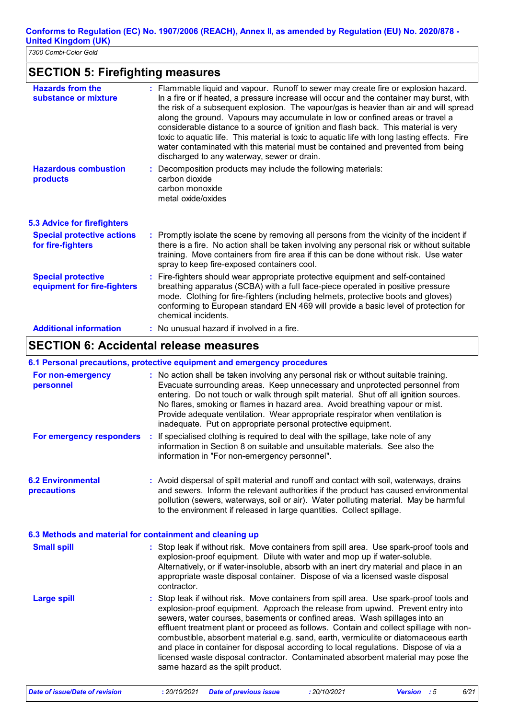*7300 Combi-Color Gold* 

## **SECTION 5: Firefighting measures**

| <b>Hazards from the</b><br>substance or mixture          | : Flammable liquid and vapour. Runoff to sewer may create fire or explosion hazard.<br>In a fire or if heated, a pressure increase will occur and the container may burst, with<br>the risk of a subsequent explosion. The vapour/gas is heavier than air and will spread<br>along the ground. Vapours may accumulate in low or confined areas or travel a<br>considerable distance to a source of ignition and flash back. This material is very<br>toxic to aquatic life. This material is toxic to aquatic life with long lasting effects. Fire<br>water contaminated with this material must be contained and prevented from being<br>discharged to any waterway, sewer or drain. |
|----------------------------------------------------------|---------------------------------------------------------------------------------------------------------------------------------------------------------------------------------------------------------------------------------------------------------------------------------------------------------------------------------------------------------------------------------------------------------------------------------------------------------------------------------------------------------------------------------------------------------------------------------------------------------------------------------------------------------------------------------------|
| <b>Hazardous combustion</b><br>products                  | Decomposition products may include the following materials:<br>carbon dioxide<br>carbon monoxide<br>metal oxide/oxides                                                                                                                                                                                                                                                                                                                                                                                                                                                                                                                                                                |
| <b>5.3 Advice for firefighters</b>                       |                                                                                                                                                                                                                                                                                                                                                                                                                                                                                                                                                                                                                                                                                       |
| <b>Special protective actions</b><br>for fire-fighters   | : Promptly isolate the scene by removing all persons from the vicinity of the incident if<br>there is a fire. No action shall be taken involving any personal risk or without suitable<br>training. Move containers from fire area if this can be done without risk. Use water<br>spray to keep fire-exposed containers cool.                                                                                                                                                                                                                                                                                                                                                         |
| <b>Special protective</b><br>equipment for fire-fighters | : Fire-fighters should wear appropriate protective equipment and self-contained<br>breathing apparatus (SCBA) with a full face-piece operated in positive pressure<br>mode. Clothing for fire-fighters (including helmets, protective boots and gloves)<br>conforming to European standard EN 469 will provide a basic level of protection for<br>chemical incidents.                                                                                                                                                                                                                                                                                                                 |
| <b>Additional information</b>                            | : No unusual hazard if involved in a fire.                                                                                                                                                                                                                                                                                                                                                                                                                                                                                                                                                                                                                                            |

## **SECTION 6: Accidental release measures**

#### **6.1 Personal precautions, protective equipment and emergency procedures**

| For non-emergency<br>personnel                           | : No action shall be taken involving any personal risk or without suitable training.<br>Evacuate surrounding areas. Keep unnecessary and unprotected personnel from<br>entering. Do not touch or walk through spilt material. Shut off all ignition sources.<br>No flares, smoking or flames in hazard area. Avoid breathing vapour or mist.<br>Provide adequate ventilation. Wear appropriate respirator when ventilation is<br>inadequate. Put on appropriate personal protective equipment.                                                                                                                                                             |
|----------------------------------------------------------|------------------------------------------------------------------------------------------------------------------------------------------------------------------------------------------------------------------------------------------------------------------------------------------------------------------------------------------------------------------------------------------------------------------------------------------------------------------------------------------------------------------------------------------------------------------------------------------------------------------------------------------------------------|
| For emergency responders                                 | If specialised clothing is required to deal with the spillage, take note of any<br>÷<br>information in Section 8 on suitable and unsuitable materials. See also the<br>information in "For non-emergency personnel".                                                                                                                                                                                                                                                                                                                                                                                                                                       |
| <b>6.2 Environmental</b><br>precautions                  | : Avoid dispersal of spilt material and runoff and contact with soil, waterways, drains<br>and sewers. Inform the relevant authorities if the product has caused environmental<br>pollution (sewers, waterways, soil or air). Water polluting material. May be harmful<br>to the environment if released in large quantities. Collect spillage.                                                                                                                                                                                                                                                                                                            |
| 6.3 Methods and material for containment and cleaning up |                                                                                                                                                                                                                                                                                                                                                                                                                                                                                                                                                                                                                                                            |
| <b>Small spill</b>                                       | : Stop leak if without risk. Move containers from spill area. Use spark-proof tools and<br>explosion-proof equipment. Dilute with water and mop up if water-soluble.<br>Alternatively, or if water-insoluble, absorb with an inert dry material and place in an<br>appropriate waste disposal container. Dispose of via a licensed waste disposal<br>contractor.                                                                                                                                                                                                                                                                                           |
| <b>Large spill</b>                                       | : Stop leak if without risk. Move containers from spill area. Use spark-proof tools and<br>explosion-proof equipment. Approach the release from upwind. Prevent entry into<br>sewers, water courses, basements or confined areas. Wash spillages into an<br>effluent treatment plant or proceed as follows. Contain and collect spillage with non-<br>combustible, absorbent material e.g. sand, earth, vermiculite or diatomaceous earth<br>and place in container for disposal according to local regulations. Dispose of via a<br>licensed waste disposal contractor. Contaminated absorbent material may pose the<br>same hazard as the spilt product. |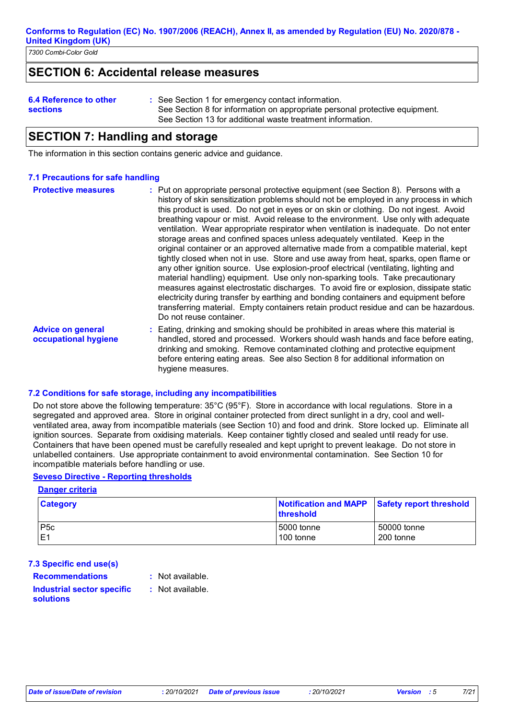*7300 Combi-Color Gold* 

### **SECTION 6: Accidental release measures**

| 6.4 Reference to other<br><b>sections</b> | : See Section 1 for emergency contact information.<br>See Section 8 for information on appropriate personal protective equipment.<br>See Section 13 for additional waste treatment information. |
|-------------------------------------------|-------------------------------------------------------------------------------------------------------------------------------------------------------------------------------------------------|
|-------------------------------------------|-------------------------------------------------------------------------------------------------------------------------------------------------------------------------------------------------|

### **SECTION 7: Handling and storage**

The information in this section contains generic advice and guidance.

#### **7.1 Precautions for safe handling**

| <b>Protective measures</b>                       | : Put on appropriate personal protective equipment (see Section 8). Persons with a<br>history of skin sensitization problems should not be employed in any process in which<br>this product is used. Do not get in eyes or on skin or clothing. Do not ingest. Avoid<br>breathing vapour or mist. Avoid release to the environment. Use only with adequate<br>ventilation. Wear appropriate respirator when ventilation is inadequate. Do not enter<br>storage areas and confined spaces unless adequately ventilated. Keep in the<br>original container or an approved alternative made from a compatible material, kept<br>tightly closed when not in use. Store and use away from heat, sparks, open flame or<br>any other ignition source. Use explosion-proof electrical (ventilating, lighting and<br>material handling) equipment. Use only non-sparking tools. Take precautionary<br>measures against electrostatic discharges. To avoid fire or explosion, dissipate static<br>electricity during transfer by earthing and bonding containers and equipment before<br>transferring material. Empty containers retain product residue and can be hazardous.<br>Do not reuse container. |
|--------------------------------------------------|------------------------------------------------------------------------------------------------------------------------------------------------------------------------------------------------------------------------------------------------------------------------------------------------------------------------------------------------------------------------------------------------------------------------------------------------------------------------------------------------------------------------------------------------------------------------------------------------------------------------------------------------------------------------------------------------------------------------------------------------------------------------------------------------------------------------------------------------------------------------------------------------------------------------------------------------------------------------------------------------------------------------------------------------------------------------------------------------------------------------------------------------------------------------------------------------|
| <b>Advice on general</b><br>occupational hygiene | : Eating, drinking and smoking should be prohibited in areas where this material is<br>handled, stored and processed. Workers should wash hands and face before eating,<br>drinking and smoking. Remove contaminated clothing and protective equipment<br>before entering eating areas. See also Section 8 for additional information on<br>hygiene measures.                                                                                                                                                                                                                                                                                                                                                                                                                                                                                                                                                                                                                                                                                                                                                                                                                                  |

#### **7.2 Conditions for safe storage, including any incompatibilities**

Do not store above the following temperature: 35°C (95°F). Store in accordance with local regulations. Store in a segregated and approved area. Store in original container protected from direct sunlight in a dry, cool and wellventilated area, away from incompatible materials (see Section 10) and food and drink. Store locked up. Eliminate all ignition sources. Separate from oxidising materials. Keep container tightly closed and sealed until ready for use. Containers that have been opened must be carefully resealed and kept upright to prevent leakage. Do not store in unlabelled containers. Use appropriate containment to avoid environmental contamination. See Section 10 for incompatible materials before handling or use.

#### **Seveso Directive - Reporting thresholds**

#### **Danger criteria**

| <b>Category</b>  | Notification and MAPP<br>threshold | <b>Safety report threshold</b> |
|------------------|------------------------------------|--------------------------------|
| P <sub>5</sub> c | l 5000 tonne                       | 50000 tonne                    |
| .E1              | 100 tonne                          | 200 tonne                      |

#### **7.3 Specific end use(s)**

**Recommendations : Industrial sector specific :**

- Not available.
- : Not available.

## **solutions**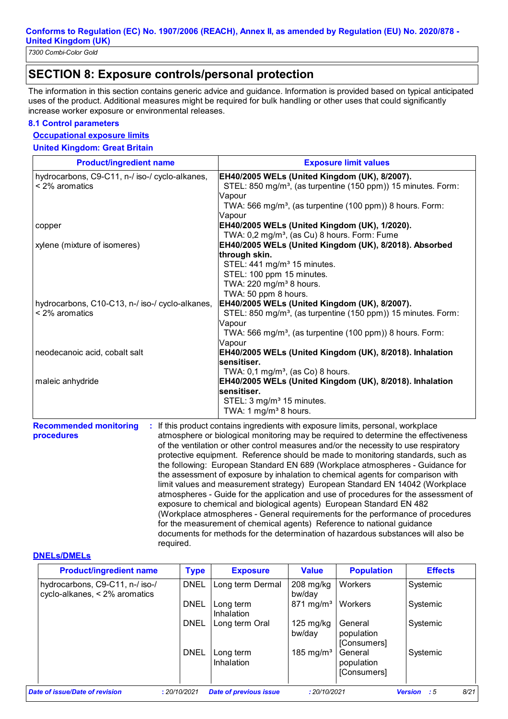## **SECTION 8: Exposure controls/personal protection**

The information in this section contains generic advice and guidance. Information is provided based on typical anticipated uses of the product. Additional measures might be required for bulk handling or other uses that could significantly increase worker exposure or environmental releases.

#### **8.1 Control parameters**

#### **Occupational exposure limits**

**United Kingdom: Great Britain**

| <b>Product/ingredient name</b>                  | <b>Exposure limit values</b>                                                         |
|-------------------------------------------------|--------------------------------------------------------------------------------------|
| hydrocarbons, C9-C11, n-/ iso-/ cyclo-alkanes,  | EH40/2005 WELs (United Kingdom (UK), 8/2007).                                        |
| < 2% aromatics                                  | STEL: 850 mg/m <sup>3</sup> , (as turpentine (150 ppm)) 15 minutes. Form:            |
|                                                 | Vapour                                                                               |
|                                                 | TWA: 566 mg/m <sup>3</sup> , (as turpentine (100 ppm)) 8 hours. Form:                |
|                                                 | Vapour                                                                               |
| copper                                          | EH40/2005 WELs (United Kingdom (UK), 1/2020).                                        |
|                                                 | TWA: 0,2 mg/m <sup>3</sup> , (as Cu) 8 hours. Form: Fume                             |
| xylene (mixture of isomeres)                    | EH40/2005 WELs (United Kingdom (UK), 8/2018). Absorbed                               |
|                                                 | through skin.                                                                        |
|                                                 | STEL: 441 mg/m <sup>3</sup> 15 minutes.                                              |
|                                                 | STEL: 100 ppm 15 minutes.                                                            |
|                                                 | TWA: 220 mg/m <sup>3</sup> 8 hours.                                                  |
|                                                 | TWA: 50 ppm 8 hours.                                                                 |
| hydrocarbons, C10-C13, n-/ iso-/ cyclo-alkanes, | EH40/2005 WELs (United Kingdom (UK), 8/2007).                                        |
| < 2% aromatics                                  | STEL: 850 mg/m <sup>3</sup> , (as turpentine (150 ppm)) 15 minutes. Form:            |
|                                                 | Vapour<br>TWA: 566 mg/m <sup>3</sup> , (as turpentine (100 ppm)) 8 hours. Form:      |
|                                                 | Vapour                                                                               |
| neodecanoic acid, cobalt salt                   | EH40/2005 WELs (United Kingdom (UK), 8/2018). Inhalation                             |
|                                                 | sensitiser.                                                                          |
|                                                 | TWA: $0,1 \text{ mg/m}^3$ , (as Co) 8 hours.                                         |
| maleic anhydride                                | EH40/2005 WELs (United Kingdom (UK), 8/2018). Inhalation                             |
|                                                 | <b>sensitiser.</b>                                                                   |
|                                                 | STEL: 3 mg/m <sup>3</sup> 15 minutes.                                                |
|                                                 | TWA: 1 mg/m <sup>3</sup> 8 hours.                                                    |
| <b>Recommended monitoring</b>                   | : If this product contains ingredients with exposure limits, personal, workplace     |
| procedures                                      | atmosphere or biological monitoring may be required to determine the effectiveness   |
|                                                 | of the ventilation or other control measures and/or the necessity to use respiratory |

of the ventilation or other control measures and/or the necessity to use respiratory protective equipment. Reference should be made to monitoring standards, such as the following: European Standard EN 689 (Workplace atmospheres - Guidance for the assessment of exposure by inhalation to chemical agents for comparison with limit values and measurement strategy) European Standard EN 14042 (Workplace atmospheres - Guide for the application and use of procedures for the assessment of exposure to chemical and biological agents) European Standard EN 482 (Workplace atmospheres - General requirements for the performance of procedures for the measurement of chemical agents) Reference to national guidance documents for methods for the determination of hazardous substances will also be required.

#### **DNELs/DMELs**

| <b>Product/ingredient name</b>                                   | <b>Type</b>  | <b>Exposure</b>                | <b>Value</b>                  | <b>Population</b>                    | <b>Effects</b>                |
|------------------------------------------------------------------|--------------|--------------------------------|-------------------------------|--------------------------------------|-------------------------------|
| hydrocarbons, C9-C11, n-/ iso-/<br>cyclo-alkanes, < 2% aromatics | <b>DNEL</b>  | Long term Dermal               | $208$ mg/kg<br>bw/day         | Workers                              | Systemic                      |
|                                                                  | <b>DNEL</b>  | Long term<br>Inhalation        | $871 \text{ mg/m}^3$          | Workers                              | Systemic                      |
|                                                                  | <b>DNEL</b>  | Long term Oral                 | $125 \text{ mg/kg}$<br>bw/day | General<br>population<br>[Consumers] | Systemic                      |
|                                                                  | <b>DNEL</b>  | Long term<br><b>Inhalation</b> | 185 mg/m <sup>3</sup>         | General<br>population<br>[Consumers] | Systemic                      |
| Date of issue/Date of revision                                   | : 20/10/2021 | <b>Date of previous issue</b>  | : 20/10/2021                  |                                      | 8/21<br><b>Version</b><br>- 5 |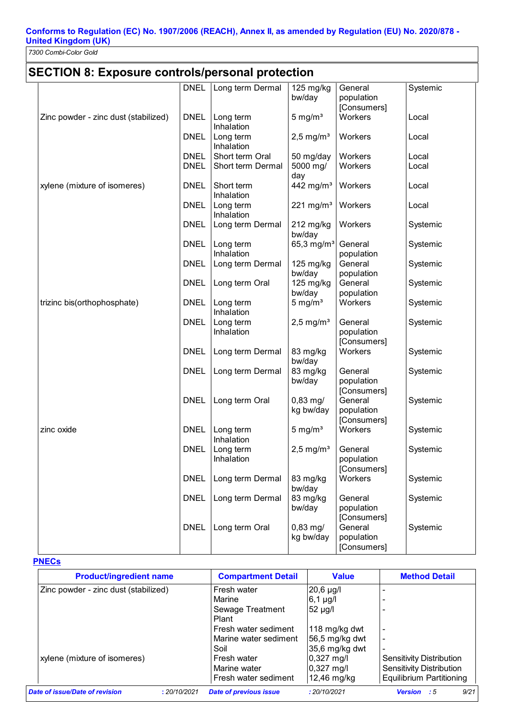*7300 Combi-Color Gold* 

## **SECTION 8: Exposure controls/personal protection**

|                                      | <b>DNEL</b> | Long term Dermal        | 125 mg/kg               | General     | Systemic |
|--------------------------------------|-------------|-------------------------|-------------------------|-------------|----------|
|                                      |             |                         | bw/day                  | population  |          |
|                                      |             |                         |                         | [Consumers] |          |
| Zinc powder - zinc dust (stabilized) | <b>DNEL</b> | Long term               | $5 \text{ mg/m}^3$      | Workers     | Local    |
|                                      |             | Inhalation              |                         |             |          |
|                                      | <b>DNEL</b> | Long term               | $2,5$ mg/m <sup>3</sup> | Workers     | Local    |
|                                      |             | Inhalation              |                         |             |          |
|                                      | <b>DNEL</b> | Short term Oral         | 50 mg/day               | Workers     | Local    |
|                                      | <b>DNEL</b> | Short term Dermal       | 5000 mg/<br>day         | Workers     | Local    |
| xylene (mixture of isomeres)         | <b>DNEL</b> | Short term              | 442 mg/ $m3$            | Workers     | Local    |
|                                      |             | Inhalation              |                         |             |          |
|                                      | <b>DNEL</b> | Long term               | $221 \text{ mg/m}^3$    | Workers     | Local    |
|                                      |             | Inhalation              |                         |             |          |
|                                      | <b>DNEL</b> | Long term Dermal        | 212 mg/kg<br>bw/day     | Workers     | Systemic |
|                                      | <b>DNEL</b> | Long term               | 65,3 mg/ $m^3$          | General     | Systemic |
|                                      |             | Inhalation              |                         | population  |          |
|                                      | <b>DNEL</b> | Long term Dermal        | 125 mg/kg               | General     | Systemic |
|                                      |             |                         | bw/day                  | population  |          |
|                                      | <b>DNEL</b> | Long term Oral          | 125 mg/kg               | General     | Systemic |
|                                      |             |                         | bw/day                  | population  |          |
| trizinc bis(orthophosphate)          | <b>DNEL</b> | Long term<br>Inhalation | $5 \text{ mg/m}^3$      | Workers     | Systemic |
|                                      | <b>DNEL</b> | Long term               | $2,5$ mg/m <sup>3</sup> | General     | Systemic |
|                                      |             | Inhalation              |                         | population  |          |
|                                      |             |                         |                         | [Consumers] |          |
|                                      | <b>DNEL</b> | Long term Dermal        | 83 mg/kg                | Workers     | Systemic |
|                                      |             |                         | bw/day                  |             |          |
|                                      | <b>DNEL</b> | Long term Dermal        | 83 mg/kg                | General     | Systemic |
|                                      |             |                         | bw/day                  | population  |          |
|                                      |             |                         |                         | [Consumers] |          |
|                                      | <b>DNEL</b> | Long term Oral          | $0,83 \, \text{mg}$     | General     | Systemic |
|                                      |             |                         | kg bw/day               | population  |          |
|                                      |             |                         |                         | [Consumers] |          |
| zinc oxide                           | <b>DNEL</b> | Long term<br>Inhalation | $5 \text{ mg/m}^3$      | Workers     | Systemic |
|                                      | <b>DNEL</b> | Long term               | $2,5$ mg/m <sup>3</sup> | General     | Systemic |
|                                      |             | Inhalation              |                         | population  |          |
|                                      |             |                         |                         | [Consumers] |          |
|                                      | <b>DNEL</b> | Long term Dermal        | 83 mg/kg                | Workers     | Systemic |
|                                      |             |                         | bw/day                  |             |          |
|                                      | <b>DNEL</b> | Long term Dermal        | 83 mg/kg                | General     | Systemic |
|                                      |             |                         | bw/day                  | population  |          |
|                                      |             |                         |                         | [Consumers] |          |
|                                      | <b>DNEL</b> | Long term Oral          | $0,83$ mg/              | General     | Systemic |
|                                      |             |                         | kg bw/day               | population  |          |
|                                      |             |                         |                         | [Consumers] |          |

#### **PNECs**

| <b>Product/ingredient name</b>       |              | <b>Compartment Detail</b>     | <b>Value</b>          | <b>Method Detail</b>            |
|--------------------------------------|--------------|-------------------------------|-----------------------|---------------------------------|
| Zinc powder - zinc dust (stabilized) |              | Fresh water                   | $20,6$ µg/l           |                                 |
|                                      |              | Marine                        | $6,1 \mu g/l$         | $\overline{\phantom{0}}$        |
|                                      |              | Sewage Treatment              | 52 µg/l               |                                 |
|                                      |              | Plant                         |                       |                                 |
|                                      |              | Fresh water sediment          | 118 mg/kg dwt         | $\overline{\phantom{0}}$        |
|                                      |              | Marine water sediment         | 56,5 mg/kg dwt        | $\overline{\phantom{0}}$        |
|                                      |              | Soil                          | 35,6 mg/kg dwt        | $\overline{\phantom{a}}$        |
| xylene (mixture of isomeres)         |              | Fresh water                   | $0,327 \text{ m}$ g/l | Sensitivity Distribution        |
|                                      |              | Marine water                  | $0,327 \text{ m}$ g/l | Sensitivity Distribution        |
|                                      |              | Fresh water sediment          | 12,46 mg/kg           | <b>Equilibrium Partitioning</b> |
| Date of issue/Date of revision       | : 20/10/2021 | <b>Date of previous issue</b> | : 20/10/2021          | 9/21<br><b>Version</b> : 5      |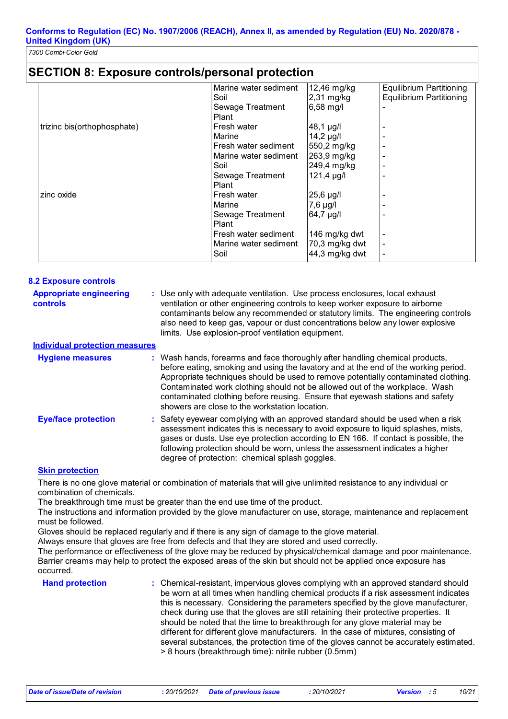### **SECTION 8: Exposure controls/personal protection**

|                             | Marine water sediment | 12,46 mg/kg     | Equilibrium Partitioning        |
|-----------------------------|-----------------------|-----------------|---------------------------------|
|                             | Soil                  | $2,31$ mg/kg    | <b>Equilibrium Partitioning</b> |
|                             | Sewage Treatment      | 6,58 mg/l       |                                 |
|                             | Plant                 |                 |                                 |
| trizinc bis(orthophosphate) | Fresh water           | 48,1 µg/l       |                                 |
|                             | Marine                | $14,2$ µg/l     |                                 |
|                             | Fresh water sediment  | 550,2 mg/kg     |                                 |
|                             | Marine water sediment | 263,9 mg/kg     |                                 |
|                             | Soil                  | 249,4 mg/kg     |                                 |
|                             | Sewage Treatment      | $121,4 \mu g/l$ |                                 |
|                             | Plant                 |                 |                                 |
| zinc oxide                  | Fresh water           | $25,6$ µg/l     |                                 |
|                             | Marine                | $7,6$ µg/l      |                                 |
|                             | Sewage Treatment      | 64,7 µg/l       |                                 |
|                             | Plant                 |                 |                                 |
|                             | Fresh water sediment  | 146 mg/kg dwt   | $\overline{\phantom{0}}$        |
|                             | Marine water sediment | 70,3 mg/kg dwt  | $\overline{\phantom{0}}$        |
|                             | Soil                  | 44,3 mg/kg dwt  |                                 |
|                             |                       |                 |                                 |

| <b>8.2 Exposure controls</b>                      |                                                                                                                                                                                                                                                                                                                                                                                                                                                                             |
|---------------------------------------------------|-----------------------------------------------------------------------------------------------------------------------------------------------------------------------------------------------------------------------------------------------------------------------------------------------------------------------------------------------------------------------------------------------------------------------------------------------------------------------------|
| <b>Appropriate engineering</b><br><b>controls</b> | : Use only with adequate ventilation. Use process enclosures, local exhaust<br>ventilation or other engineering controls to keep worker exposure to airborne<br>contaminants below any recommended or statutory limits. The engineering controls<br>also need to keep gas, vapour or dust concentrations below any lower explosive<br>limits. Use explosion-proof ventilation equipment.                                                                                    |
| <b>Individual protection measures</b>             |                                                                                                                                                                                                                                                                                                                                                                                                                                                                             |
| <b>Hygiene measures</b>                           | : Wash hands, forearms and face thoroughly after handling chemical products,<br>before eating, smoking and using the lavatory and at the end of the working period.<br>Appropriate techniques should be used to remove potentially contaminated clothing.<br>Contaminated work clothing should not be allowed out of the workplace. Wash<br>contaminated clothing before reusing. Ensure that eyewash stations and safety<br>showers are close to the workstation location. |
| <b>Eye/face protection</b>                        | : Safety eyewear complying with an approved standard should be used when a risk<br>assessment indicates this is necessary to avoid exposure to liquid splashes, mists,<br>gases or dusts. Use eye protection according to EN 166. If contact is possible, the<br>following protection should be worn, unless the assessment indicates a higher<br>degree of protection: chemical splash goggles.                                                                            |

#### **Skin protection**

There is no one glove material or combination of materials that will give unlimited resistance to any individual or combination of chemicals.

The breakthrough time must be greater than the end use time of the product.

The instructions and information provided by the glove manufacturer on use, storage, maintenance and replacement must be followed.

Gloves should be replaced regularly and if there is any sign of damage to the glove material.

Always ensure that gloves are free from defects and that they are stored and used correctly.

The performance or effectiveness of the glove may be reduced by physical/chemical damage and poor maintenance. Barrier creams may help to protect the exposed areas of the skin but should not be applied once exposure has occurred.

**Hand protection** : Chemical-resistant, impervious gloves complying with an approved standard should **Finance** be worn at all times when handling chemical products if a risk assessment indicates this is necessary. Considering the parameters specified by the glove manufacturer, check during use that the gloves are still retaining their protective properties. It should be noted that the time to breakthrough for any glove material may be different for different glove manufacturers. In the case of mixtures, consisting of several substances, the protection time of the gloves cannot be accurately estimated. > 8 hours (breakthrough time): nitrile rubber (0.5mm)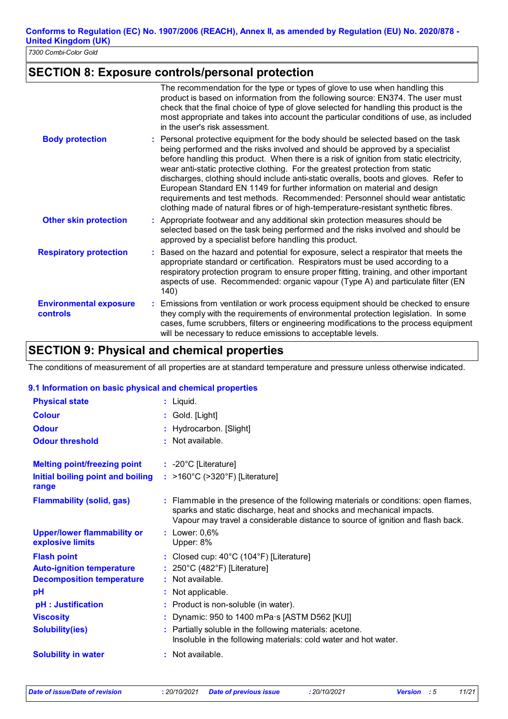## **SECTION 8: Exposure controls/personal protection**

|                                                  | The recommendation for the type or types of glove to use when handling this<br>product is based on information from the following source: EN374. The user must<br>check that the final choice of type of glove selected for handling this product is the<br>most appropriate and takes into account the particular conditions of use, as included<br>in the user's risk assessment.                                                                                                                                                                                                                                                                                                      |
|--------------------------------------------------|------------------------------------------------------------------------------------------------------------------------------------------------------------------------------------------------------------------------------------------------------------------------------------------------------------------------------------------------------------------------------------------------------------------------------------------------------------------------------------------------------------------------------------------------------------------------------------------------------------------------------------------------------------------------------------------|
| <b>Body protection</b>                           | : Personal protective equipment for the body should be selected based on the task<br>being performed and the risks involved and should be approved by a specialist<br>before handling this product. When there is a risk of ignition from static electricity,<br>wear anti-static protective clothing. For the greatest protection from static<br>discharges, clothing should include anti-static overalls, boots and gloves. Refer to<br>European Standard EN 1149 for further information on material and design<br>requirements and test methods. Recommended: Personnel should wear antistatic<br>clothing made of natural fibres or of high-temperature-resistant synthetic fibres. |
| <b>Other skin protection</b>                     | : Appropriate footwear and any additional skin protection measures should be<br>selected based on the task being performed and the risks involved and should be<br>approved by a specialist before handling this product.                                                                                                                                                                                                                                                                                                                                                                                                                                                                |
| <b>Respiratory protection</b>                    | Based on the hazard and potential for exposure, select a respirator that meets the<br>appropriate standard or certification. Respirators must be used according to a<br>respiratory protection program to ensure proper fitting, training, and other important<br>aspects of use. Recommended: organic vapour (Type A) and particulate filter (EN<br>140)                                                                                                                                                                                                                                                                                                                                |
| <b>Environmental exposure</b><br><b>controls</b> | : Emissions from ventilation or work process equipment should be checked to ensure<br>they comply with the requirements of environmental protection legislation. In some<br>cases, fume scrubbers, filters or engineering modifications to the process equipment<br>will be necessary to reduce emissions to acceptable levels.                                                                                                                                                                                                                                                                                                                                                          |

## **SECTION 9: Physical and chemical properties**

The conditions of measurement of all properties are at standard temperature and pressure unless otherwise indicated.

#### **9.1 Information on basic physical and chemical properties**

| <b>Physical state</b>                                  | : Liquid.                                                                                                                                                                                                                                     |
|--------------------------------------------------------|-----------------------------------------------------------------------------------------------------------------------------------------------------------------------------------------------------------------------------------------------|
| <b>Colour</b>                                          | : Gold. [Light]                                                                                                                                                                                                                               |
| <b>Odour</b>                                           | : Hydrocarbon. [Slight]                                                                                                                                                                                                                       |
| <b>Odour threshold</b>                                 | $\cdot$ Not available.                                                                                                                                                                                                                        |
| <b>Melting point/freezing point</b>                    | $: -20^{\circ}$ C [Literature]                                                                                                                                                                                                                |
| Initial boiling point and boiling<br>range             | : >160°C (>320°F) [Literature]                                                                                                                                                                                                                |
| <b>Flammability (solid, gas)</b>                       | : Flammable in the presence of the following materials or conditions: open flames,<br>sparks and static discharge, heat and shocks and mechanical impacts.<br>Vapour may travel a considerable distance to source of ignition and flash back. |
| <b>Upper/lower flammability or</b><br>explosive limits | $:$ Lower: $0.6\%$<br>Upper: 8%                                                                                                                                                                                                               |
| <b>Flash point</b>                                     | : Closed cup: $40^{\circ}$ C (104 $^{\circ}$ F) [Literature]                                                                                                                                                                                  |
| <b>Auto-ignition temperature</b>                       | : $250^{\circ}$ C (482°F) [Literature]                                                                                                                                                                                                        |
| <b>Decomposition temperature</b>                       | $:$ Not available.                                                                                                                                                                                                                            |
| pH                                                     | Not applicable.                                                                                                                                                                                                                               |
| pH : Justification                                     | : Product is non-soluble (in water).                                                                                                                                                                                                          |
| <b>Viscosity</b>                                       | Dynamic: 950 to 1400 mPa s [ASTM D562 [KU]]                                                                                                                                                                                                   |
| <b>Solubility(ies)</b>                                 | Partially soluble in the following materials: acetone.<br>Insoluble in the following materials: cold water and hot water.                                                                                                                     |
| <b>Solubility in water</b>                             | : Not available.                                                                                                                                                                                                                              |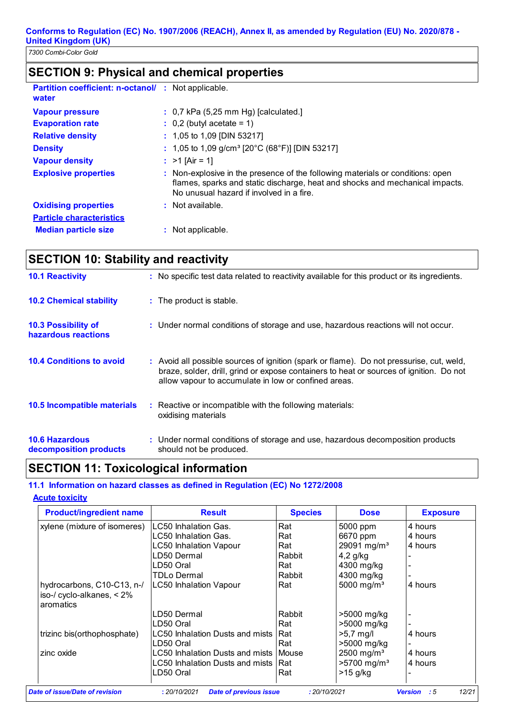## **SECTION 9: Physical and chemical properties**

| <b>Partition coefficient: n-octanol/ : Not applicable.</b><br>water |                                                                                                                                                                                                            |
|---------------------------------------------------------------------|------------------------------------------------------------------------------------------------------------------------------------------------------------------------------------------------------------|
| <b>Vapour pressure</b>                                              | $\therefore$ 0,7 kPa (5,25 mm Hg) [calculated.]                                                                                                                                                            |
| <b>Evaporation rate</b>                                             | $\therefore$ 0.2 (butyl acetate = 1)                                                                                                                                                                       |
| <b>Relative density</b>                                             | $: 1,05$ to 1,09 [DIN 53217]                                                                                                                                                                               |
| <b>Density</b>                                                      | : 1,05 to 1,09 g/cm <sup>3</sup> [20°C (68°F)] [DIN 53217]                                                                                                                                                 |
| <b>Vapour density</b>                                               | : $>1$ [Air = 1]                                                                                                                                                                                           |
| <b>Explosive properties</b>                                         | : Non-explosive in the presence of the following materials or conditions: open<br>flames, sparks and static discharge, heat and shocks and mechanical impacts.<br>No unusual hazard if involved in a fire. |
| <b>Oxidising properties</b>                                         | $\therefore$ Not available.                                                                                                                                                                                |
| <b>Particle characteristics</b>                                     |                                                                                                                                                                                                            |
| <b>Median particle size</b>                                         | : Not applicable.                                                                                                                                                                                          |

## **SECTION 10: Stability and reactivity**

| <b>10.1 Reactivity</b>                            | : No specific test data related to reactivity available for this product or its ingredients.                                                                                                                                                |
|---------------------------------------------------|---------------------------------------------------------------------------------------------------------------------------------------------------------------------------------------------------------------------------------------------|
| <b>10.2 Chemical stability</b>                    | : The product is stable.                                                                                                                                                                                                                    |
| <b>10.3 Possibility of</b><br>hazardous reactions | : Under normal conditions of storage and use, hazardous reactions will not occur.                                                                                                                                                           |
| <b>10.4 Conditions to avoid</b>                   | : Avoid all possible sources of ignition (spark or flame). Do not pressurise, cut, weld,<br>braze, solder, drill, grind or expose containers to heat or sources of ignition. Do not<br>allow vapour to accumulate in low or confined areas. |
| 10.5 Incompatible materials                       | : Reactive or incompatible with the following materials:<br>oxidising materials                                                                                                                                                             |
| <b>10.6 Hazardous</b><br>decomposition products   | : Under normal conditions of storage and use, hazardous decomposition products<br>should not be produced.                                                                                                                                   |

## **SECTION 11: Toxicological information**

#### **11.1 Information on hazard classes as defined in Regulation (EC) No 1272/2008**

#### **Acute toxicity**

| <b>Product/ingredient name</b>                                          | <b>Result</b>                                 | <b>Species</b> | <b>Dose</b>                | <b>Exposure</b>               |
|-------------------------------------------------------------------------|-----------------------------------------------|----------------|----------------------------|-------------------------------|
| xylene (mixture of isomeres)                                            | LC50 Inhalation Gas.                          | Rat            | 5000 ppm                   | 4 hours                       |
|                                                                         | LC50 Inhalation Gas.                          | Rat            | 6670 ppm                   | 4 hours                       |
|                                                                         | <b>LC50 Inhalation Vapour</b>                 | Rat            | 29091 mg/m <sup>3</sup>    | 4 hours                       |
|                                                                         | LD50 Dermal                                   | Rabbit         | $4,2$ g/kg                 |                               |
|                                                                         | LD50 Oral                                     | Rat            | 4300 mg/kg                 |                               |
|                                                                         | TDLo Dermal                                   | Rabbit         | 4300 mg/kg                 |                               |
| hydrocarbons, C10-C13, n-/<br>iso-/ cyclo-alkanes, $< 2\%$<br>aromatics | LC50 Inhalation Vapour                        | Rat            | 5000 mg/m <sup>3</sup>     | 4 hours                       |
|                                                                         | LD50 Dermal                                   | Rabbit         | >5000 mg/kg                |                               |
|                                                                         | LD50 Oral                                     | Rat            | >5000 mg/kg                |                               |
| trizinc bis(orthophosphate)                                             | LC50 Inhalation Dusts and mists<br>LD50 Oral  | Rat<br>Rat     | $>5.7$ mg/l<br>>5000 mg/kg | 4 hours                       |
| zinc oxide                                                              | LC50 Inhalation Dusts and mists Mouse         |                | 2500 mg/m <sup>3</sup>     | 4 hours                       |
|                                                                         | LC50 Inhalation Dusts and mists               | IRat           | $>5700$ mg/m <sup>3</sup>  | 4 hours                       |
|                                                                         | LD50 Oral                                     | Rat            | $>15$ g/kg                 |                               |
| Date of issue/Date of revision                                          | : 20/10/2021<br><b>Date of previous issue</b> | : 20/10/2021   |                            | :5<br>12/21<br><b>Version</b> |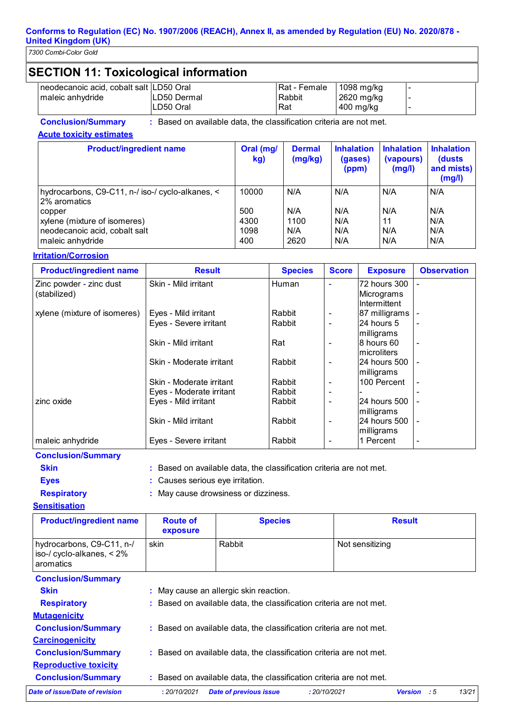*7300 Combi-Color Gold* 

| <b>SECTION 11: Toxicological information</b>                |                          |                               |                                         |                                    |  |
|-------------------------------------------------------------|--------------------------|-------------------------------|-----------------------------------------|------------------------------------|--|
| neodecanoic acid, cobalt salt LD50 Oral<br>maleic anhydride | LD50 Dermal<br>LD50 Oral | Rat - Female<br>Rabbit<br>Rat | $1098$ mg/kg<br>2620 mg/kg<br>400 mg/kg | $\overline{\phantom{0}}$<br>-<br>- |  |

**Conclusion/Summary :** Based on available data, the classification criteria are not met.

**Acute toxicity estimates**

| <b>Product/ingredient name</b>                                   | Oral (mg/<br>kg) | <b>Dermal</b><br>(mg/kg) | <b>Inhalation</b><br>(gases)<br>(ppm) | <b>Inhalation</b><br>(vapours)<br>(mg/l) | <b>Inhalation</b><br>(dusts)<br>and mists)<br>(mg/l) |
|------------------------------------------------------------------|------------------|--------------------------|---------------------------------------|------------------------------------------|------------------------------------------------------|
| hydrocarbons, C9-C11, n-/ iso-/ cyclo-alkanes, <<br>2% aromatics | 10000            | N/A                      | N/A                                   | N/A                                      | N/A                                                  |
| copper                                                           | 500              | N/A                      | N/A                                   | N/A                                      | N/A                                                  |
| xylene (mixture of isomeres)                                     | 4300             | 1100                     | N/A                                   | 11                                       | N/A                                                  |
| neodecanoic acid, cobalt salt                                    | 1098             | N/A                      | N/A                                   | N/A                                      | N/A                                                  |
| maleic anhydride                                                 | 400              | 2620                     | N/A                                   | N/A                                      | N/A                                                  |

#### **Irritation/Corrosion**

| <b>Product/ingredient name</b> | <b>Result</b>            | <b>Species</b> | <b>Score</b>   | <b>Exposure</b> | <b>Observation</b>       |
|--------------------------------|--------------------------|----------------|----------------|-----------------|--------------------------|
| Zinc powder - zinc dust        | Skin - Mild irritant     | Human          | $\blacksquare$ | 72 hours 300    |                          |
| (stabilized)                   |                          |                |                | Micrograms      |                          |
|                                |                          |                |                | Intermittent    |                          |
| xylene (mixture of isomeres)   | Eyes - Mild irritant     | Rabbit         |                | 87 milligrams - |                          |
|                                | Eyes - Severe irritant   | Rabbit         |                | 24 hours 5      | $\overline{\phantom{a}}$ |
|                                |                          |                |                | milligrams      |                          |
|                                | Skin - Mild irritant     | Rat            | $\overline{a}$ | 8 hours 60      | $\overline{\phantom{a}}$ |
|                                |                          |                |                | Imicroliters    |                          |
|                                | Skin - Moderate irritant | Rabbit         |                | 24 hours 500    | $\overline{\phantom{a}}$ |
|                                |                          |                |                | milligrams      |                          |
|                                | Skin - Moderate irritant | Rabbit         | $\overline{a}$ | 100 Percent     | $\overline{\phantom{a}}$ |
|                                | Eyes - Moderate irritant | Rabbit         |                |                 |                          |
| zinc oxide                     | Eyes - Mild irritant     | Rabbit         |                | 24 hours 500    |                          |
|                                |                          |                |                | milligrams      |                          |
|                                | Skin - Mild irritant     | Rabbit         | $\overline{a}$ | 24 hours 500    | $\overline{\phantom{a}}$ |
|                                |                          |                |                | milligrams      |                          |
| maleic anhydride               | Eyes - Severe irritant   | Rabbit         |                | 1 Percent       | $\overline{\phantom{a}}$ |

#### **Conclusion/Summary**

- **Skin :** Based on available data, the classification criteria are not met.
- **Eyes :** Causes serious eye irritation.

#### **Respiratory :** May cause drowsiness or dizziness. **Sensitisation**

| <b>Product/ingredient name</b>                                                   | <b>Route of</b><br>exposure | <b>Species</b> | <b>Result</b>   |
|----------------------------------------------------------------------------------|-----------------------------|----------------|-----------------|
| hydrocarbons, C9-C11, n-/<br>$\vert$ iso-/ cyclo-alkanes, $\lt 2\%$<br>aromatics | skin                        | Rabbit         | Not sensitizing |
| <b>Conclusion/Summary</b>                                                        |                             |                |                 |

| <b>Skin</b>                    | May cause an allergic skin reaction.<br>÷.                          |              |                         |       |
|--------------------------------|---------------------------------------------------------------------|--------------|-------------------------|-------|
| <b>Respiratory</b>             | : Based on available data, the classification criteria are not met. |              |                         |       |
| <b>Mutagenicity</b>            |                                                                     |              |                         |       |
| <b>Conclusion/Summary</b>      | : Based on available data, the classification criteria are not met. |              |                         |       |
| <b>Carcinogenicity</b>         |                                                                     |              |                         |       |
| <b>Conclusion/Summary</b>      | : Based on available data, the classification criteria are not met. |              |                         |       |
| <b>Reproductive toxicity</b>   |                                                                     |              |                         |       |
| <b>Conclusion/Summary</b>      | Based on available data, the classification criteria are not met.   |              |                         |       |
| Date of issue/Date of revision | <b>Date of previous issue</b><br>: 20/10/2021                       | : 20/10/2021 | - : 5<br><b>Version</b> | 13/21 |
|                                |                                                                     |              |                         |       |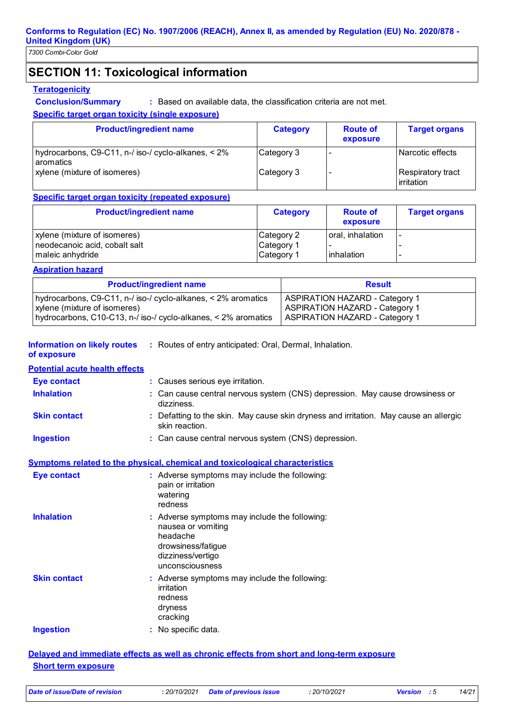## **SECTION 11: Toxicological information**

#### **Teratogenicity**

**Conclusion/Summary :** Based on available data, the classification criteria are not met.

#### **Specific target organ toxicity (single exposure)**

| <b>Product/ingredient name</b>                                     | <b>Category</b> | <b>Route of</b><br>exposure | <b>Target organs</b>                    |
|--------------------------------------------------------------------|-----------------|-----------------------------|-----------------------------------------|
| hydrocarbons, C9-C11, n-/ iso-/ cyclo-alkanes, < 2%<br>l aromatics | Category 3      |                             | Narcotic effects                        |
| xylene (mixture of isomeres)                                       | Category 3      |                             | <b>Respiratory tract</b><br>lirritation |

#### **Specific target organ toxicity (repeated exposure)**

| <b>Product/ingredient name</b> | <b>Category</b> | <b>Route of</b><br>exposure | <b>Target organs</b> |
|--------------------------------|-----------------|-----------------------------|----------------------|
| xylene (mixture of isomeres)   | Category 2      | oral, inhalation            |                      |
| neodecanoic acid, cobalt salt  | Category 1      |                             |                      |
| maleic anhydride               | Category 1      | inhalation                  |                      |

#### **Aspiration hazard**

| <b>Product/ingredient name</b>                                 | <b>Result</b>                         |
|----------------------------------------------------------------|---------------------------------------|
| hydrocarbons, C9-C11, n-/ iso-/ cyclo-alkanes, < 2% aromatics  | <b>ASPIRATION HAZARD - Category 1</b> |
| xylene (mixture of isomeres)                                   | <b>ASPIRATION HAZARD - Category 1</b> |
| hydrocarbons, C10-C13, n-/ iso-/ cyclo-alkanes, < 2% aromatics | <b>ASPIRATION HAZARD - Category 1</b> |

**Information on likely routes** : Routes of entry anticipated: Oral, Dermal, Inhalation.

## **of exposure**

| <b>Potential acute health effects</b> |                                                                                                         |
|---------------------------------------|---------------------------------------------------------------------------------------------------------|
| Eye contact                           | : Causes serious eye irritation.                                                                        |
| <b>Inhalation</b>                     | : Can cause central nervous system (CNS) depression. May cause drowsiness or<br>dizziness.              |
| <b>Skin contact</b>                   | : Defatting to the skin. May cause skin dryness and irritation. May cause an allergic<br>skin reaction. |
| <b>Ingestion</b>                      | : Can cause central nervous system (CNS) depression.                                                    |
|                                       | <b>Symptoms related to the physical, chemical and toxicological characteristics</b>                     |
| Eye contact                           | : Adverse symptoms may include the following:<br>pain or irritation<br>watering<br>redness              |

| <b>Inhalation</b>   | : Adverse symptoms may include the following:<br>nausea or vomiting<br>headache<br>drowsiness/fatigue<br>dizziness/vertigo<br>unconsciousness |
|---------------------|-----------------------------------------------------------------------------------------------------------------------------------------------|
| <b>Skin contact</b> | : Adverse symptoms may include the following:<br>irritation<br>redness<br>dryness<br>cracking                                                 |

#### **Ingestion**

No specific data. **:**

#### **Delayed and immediate effects as well as chronic effects from short and long-term exposure Short term exposure**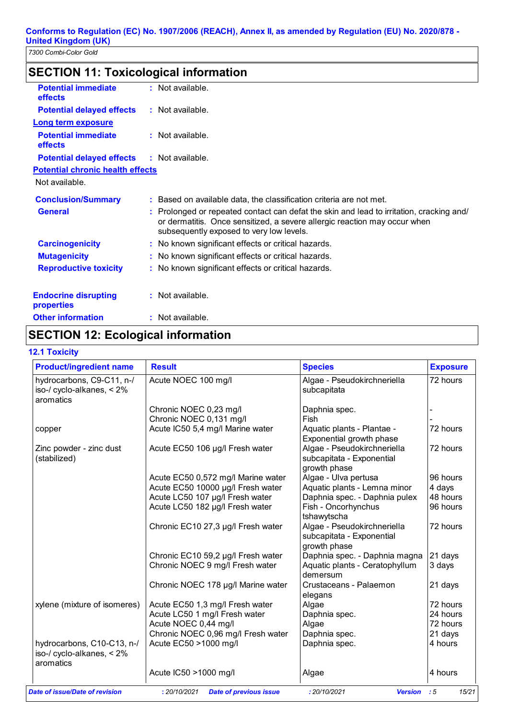## **SECTION 11: Toxicological information**

| <b>Potential immediate</b><br><b>effects</b> | $:$ Not available.                                                                                                                                                                                                |
|----------------------------------------------|-------------------------------------------------------------------------------------------------------------------------------------------------------------------------------------------------------------------|
| <b>Potential delayed effects</b>             | : Not available.                                                                                                                                                                                                  |
| <b>Long term exposure</b>                    |                                                                                                                                                                                                                   |
| <b>Potential immediate</b><br>effects        | $:$ Not available.                                                                                                                                                                                                |
| <b>Potential delayed effects</b>             | $:$ Not available.                                                                                                                                                                                                |
| <b>Potential chronic health effects</b>      |                                                                                                                                                                                                                   |
| Not available.                               |                                                                                                                                                                                                                   |
| <b>Conclusion/Summary</b>                    | : Based on available data, the classification criteria are not met.                                                                                                                                               |
| <b>General</b>                               | : Prolonged or repeated contact can defat the skin and lead to irritation, cracking and/<br>or dermatitis. Once sensitized, a severe allergic reaction may occur when<br>subsequently exposed to very low levels. |
| <b>Carcinogenicity</b>                       | : No known significant effects or critical hazards.                                                                                                                                                               |
| <b>Mutagenicity</b>                          | : No known significant effects or critical hazards.                                                                                                                                                               |
| <b>Reproductive toxicity</b>                 | : No known significant effects or critical hazards.                                                                                                                                                               |
| <b>Endocrine disrupting</b><br>properties    | $:$ Not available.                                                                                                                                                                                                |
| <b>Other information</b>                     | $:$ Not available.                                                                                                                                                                                                |

## **SECTION 12: Ecological information**

#### **12.1 Toxicity**

| <b>Product/ingredient name</b>                                       | <b>Result</b>                                 | <b>Species</b>                                                           | <b>Exposure</b> |
|----------------------------------------------------------------------|-----------------------------------------------|--------------------------------------------------------------------------|-----------------|
| hydrocarbons, C9-C11, n-/<br>iso-/ cyclo-alkanes, < 2%<br>aromatics  | Acute NOEC 100 mg/l                           | Algae - Pseudokirchneriella<br>subcapitata                               | 72 hours        |
|                                                                      | Chronic NOEC 0,23 mg/l                        | Daphnia spec.                                                            |                 |
|                                                                      | Chronic NOEC 0,131 mg/l                       | <b>Fish</b>                                                              |                 |
| copper                                                               | Acute IC50 5,4 mg/l Marine water              | Aquatic plants - Plantae -<br>Exponential growth phase                   | 72 hours        |
| Zinc powder - zinc dust<br>(stabilized)                              | Acute EC50 106 µg/l Fresh water               | Algae - Pseudokirchneriella<br>subcapitata - Exponential<br>growth phase | 72 hours        |
|                                                                      | Acute EC50 0,572 mg/l Marine water            | Algae - Ulva pertusa                                                     | 96 hours        |
|                                                                      | Acute EC50 10000 µg/l Fresh water             | Aquatic plants - Lemna minor                                             | 4 days          |
|                                                                      | Acute LC50 107 µg/l Fresh water               | Daphnia spec. - Daphnia pulex                                            | 48 hours        |
|                                                                      | Acute LC50 182 µg/l Fresh water               | Fish - Oncorhynchus<br>tshawytscha                                       | 96 hours        |
|                                                                      | Chronic EC10 27,3 µg/l Fresh water            | Algae - Pseudokirchneriella<br>subcapitata - Exponential<br>growth phase | 72 hours        |
|                                                                      | Chronic EC10 59,2 µg/l Fresh water            | Daphnia spec. - Daphnia magna                                            | 21 days         |
|                                                                      | Chronic NOEC 9 mg/l Fresh water               | Aquatic plants - Ceratophyllum<br>demersum                               | 3 days          |
|                                                                      | Chronic NOEC 178 µg/l Marine water            | Crustaceans - Palaemon<br>elegans                                        | 21 days         |
| xylene (mixture of isomeres)                                         | Acute EC50 1,3 mg/l Fresh water               | Algae                                                                    | 72 hours        |
|                                                                      | Acute LC50 1 mg/l Fresh water                 | Daphnia spec.                                                            | 24 hours        |
|                                                                      | Acute NOEC 0,44 mg/l                          | Algae                                                                    | 72 hours        |
|                                                                      | Chronic NOEC 0,96 mg/l Fresh water            | Daphnia spec.                                                            | 21 days         |
| hydrocarbons, C10-C13, n-/<br>iso-/ cyclo-alkanes, < 2%<br>aromatics | Acute EC50 >1000 mg/l                         | Daphnia spec.                                                            | 4 hours         |
|                                                                      | Acute IC50 >1000 mg/l                         | Algae                                                                    | 4 hours         |
| <b>Date of issue/Date of revision</b>                                | : 20/10/2021<br><b>Date of previous issue</b> | : 20/10/2021<br><b>Version</b>                                           | :5<br>15/21     |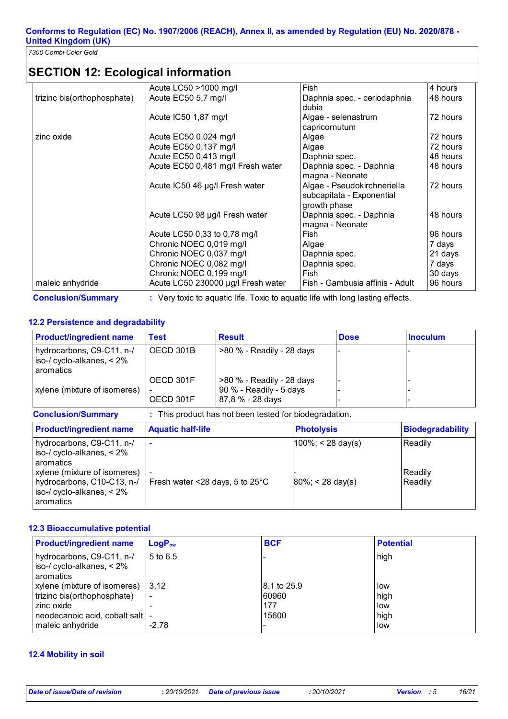*7300 Combi-Color Gold* 

## **SECTION 12: Ecological information**

| <b>Conclusion/Summary</b>   | : Very toxic to aquatic life. Toxic to aquatic life with long lasting effects. |                                 |          |
|-----------------------------|--------------------------------------------------------------------------------|---------------------------------|----------|
| maleic anhydride            | Acute LC50 230000 µg/l Fresh water                                             | Fish - Gambusia affinis - Adult | 96 hours |
|                             | Chronic NOEC 0,199 mg/l                                                        | Fish                            | 30 days  |
|                             | Chronic NOEC 0,082 mg/l                                                        | Daphnia spec.                   | 7 days   |
|                             | Chronic NOEC 0,037 mg/l                                                        | Daphnia spec.                   | 21 days  |
|                             | Chronic NOEC 0,019 mg/l                                                        | Algae                           | 7 days   |
|                             | Acute LC50 0,33 to 0,78 mg/l                                                   | Fish                            | 96 hours |
|                             |                                                                                | magna - Neonate                 |          |
|                             | Acute LC50 98 µg/l Fresh water                                                 | Daphnia spec. - Daphnia         | 48 hours |
|                             |                                                                                | growth phase                    |          |
|                             |                                                                                | subcapitata - Exponential       |          |
|                             | Acute IC50 46 µg/l Fresh water                                                 | Algae - Pseudokirchneriella     | 72 hours |
|                             |                                                                                | magna - Neonate                 |          |
|                             | Acute EC50 0,481 mg/l Fresh water                                              | Daphnia spec. - Daphnia         | 48 hours |
|                             | Acute EC50 0,413 mg/l                                                          | Daphnia spec.                   | 48 hours |
|                             | Acute EC50 0,137 mg/l                                                          | Algae                           | 72 hours |
| zinc oxide                  | Acute EC50 0,024 mg/l                                                          | Algae                           | 72 hours |
|                             |                                                                                | capricornutum                   |          |
|                             | Acute IC50 1,87 mg/l                                                           | Algae - selenastrum             | 72 hours |
|                             |                                                                                | dubia                           |          |
| trizinc bis(orthophosphate) | Acute EC50 5,7 mg/l                                                            | Daphnia spec. - ceriodaphnia    | 48 hours |
|                             | Acute LC50 >1000 mg/l                                                          | Fish                            | 4 hours  |

#### **12.2 Persistence and degradability**

| <b>Product/ingredient name</b>                                         | Test                   | <b>Result</b>                                                            | <b>Dose</b> | <b>Inoculum</b> |
|------------------------------------------------------------------------|------------------------|--------------------------------------------------------------------------|-------------|-----------------|
| hydrocarbons, C9-C11, n-/<br>iso-/ cyclo-alkanes, $< 2\%$<br>aromatics | OECD 301B              | $>80$ % - Readily - 28 days                                              |             |                 |
| xylene (mixture of isomeres)                                           | OECD 301F<br>OECD 301F | >80 % - Readily - 28 days<br>90 % - Readily - 5 days<br>87,8 % - 28 days |             |                 |

| <b>Conclusion/Summary</b>                                                                                                                                                         | : This product has not been tested for biodegradation.                |                                               |                               |  |
|-----------------------------------------------------------------------------------------------------------------------------------------------------------------------------------|-----------------------------------------------------------------------|-----------------------------------------------|-------------------------------|--|
| <b>Product/ingredient name</b>                                                                                                                                                    | <b>Aquatic half-life</b>                                              | <b>Photolysis</b>                             | <b>Biodegradability</b>       |  |
| hydrocarbons, C9-C11, n-/<br>iso-/ cyclo-alkanes, $< 2\%$<br>aromatics<br>xylene (mixture of isomeres)<br>hydrocarbons, C10-C13, n-/<br>iso-/ cyclo-alkanes, $< 2\%$<br>aromatics | $\overline{\phantom{a}}$<br>Fresh water <28 days, 5 to $25^{\circ}$ C | $ 100\%  < 28$ day(s)<br>$80\%$ ; < 28 day(s) | Readily<br>Readily<br>Readily |  |

#### **12.3 Bioaccumulative potential**

| <b>Product/ingredient name</b>                                           | $LogP_{ow}$              | <b>BCF</b>   | <b>Potential</b> |
|--------------------------------------------------------------------------|--------------------------|--------------|------------------|
| hydrocarbons, C9-C11, n-/<br>iso-/ cyclo-alkanes, $< 2\%$<br>l aromatics | 5 to 6.5                 |              | high             |
| xylene (mixture of isomeres)   3,12                                      |                          | 18.1 to 25.9 | low              |
| trizinc bis(orthophosphate)                                              | $\overline{\phantom{a}}$ | 60960        | high             |
| zinc oxide                                                               |                          | 177          | low              |
| neodecanoic acid, cobalt salt   -                                        |                          | 15600        | high             |
| maleic anhydride                                                         | $-2.78$                  |              | low              |

#### **12.4 Mobility in soil**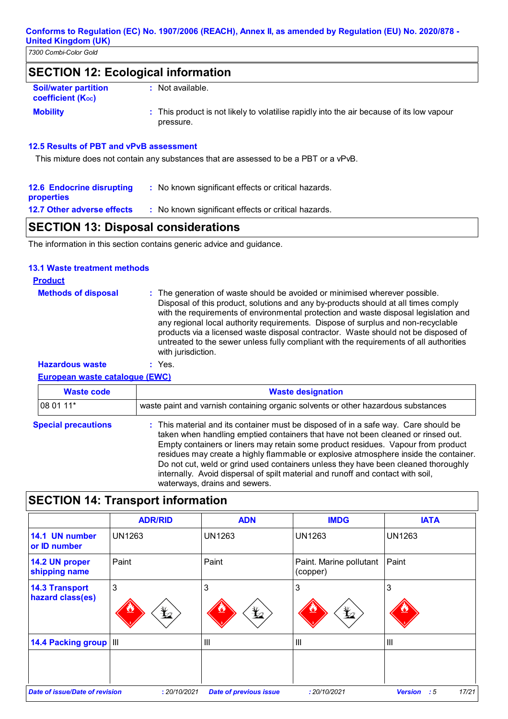## **SECTION 12: Ecological information**

| <b>Soil/water partition</b><br>coefficient (K <sub>oc</sub> ) | : Not available.                                                                                       |
|---------------------------------------------------------------|--------------------------------------------------------------------------------------------------------|
| <b>Mobility</b>                                               | : This product is not likely to volatilise rapidly into the air because of its low vapour<br>pressure. |

#### **12.5 Results of PBT and vPvB assessment**

This mixture does not contain any substances that are assessed to be a PBT or a vPvB.

| <b>12.6 Endocrine disrupting</b><br>properties | : No known significant effects or critical hazards. |
|------------------------------------------------|-----------------------------------------------------|
| <b>12.7 Other adverse effects</b>              | : No known significant effects or critical hazards. |
|                                                |                                                     |

## **SECTION 13: Disposal considerations**

The information in this section contains generic advice and guidance.

#### **13.1 Waste treatment methods**

| <b>Product</b>             |                                                                                                                                                                                                                                                                                                                                                                                                                                                                                                                                                     |
|----------------------------|-----------------------------------------------------------------------------------------------------------------------------------------------------------------------------------------------------------------------------------------------------------------------------------------------------------------------------------------------------------------------------------------------------------------------------------------------------------------------------------------------------------------------------------------------------|
| <b>Methods of disposal</b> | : The generation of waste should be avoided or minimised wherever possible.<br>Disposal of this product, solutions and any by-products should at all times comply<br>with the requirements of environmental protection and waste disposal legislation and<br>any regional local authority requirements. Dispose of surplus and non-recyclable<br>products via a licensed waste disposal contractor. Waste should not be disposed of<br>untreated to the sewer unless fully compliant with the requirements of all authorities<br>with jurisdiction. |
| <b>Hazardous waste</b>     | $:$ Yes.                                                                                                                                                                                                                                                                                                                                                                                                                                                                                                                                            |

#### **European waste catalogue (EWC)**

| <b>Waste code</b>          | <b>Waste designation</b>                                                                                                                                                                                                                                                                                                                                                                                                                                                                                                                                      |  |  |
|----------------------------|---------------------------------------------------------------------------------------------------------------------------------------------------------------------------------------------------------------------------------------------------------------------------------------------------------------------------------------------------------------------------------------------------------------------------------------------------------------------------------------------------------------------------------------------------------------|--|--|
| 08 01 11*                  | waste paint and varnish containing organic solvents or other hazardous substances                                                                                                                                                                                                                                                                                                                                                                                                                                                                             |  |  |
| <b>Special precautions</b> | : This material and its container must be disposed of in a safe way. Care should be<br>taken when handling emptied containers that have not been cleaned or rinsed out.<br>Empty containers or liners may retain some product residues. Vapour from product<br>residues may create a highly flammable or explosive atmosphere inside the container.<br>Do not cut, weld or grind used containers unless they have been cleaned thoroughly<br>internally. Avoid dispersal of spilt material and runoff and contact with soil,<br>waterways, drains and sewers. |  |  |

# **SECTION 14: Transport information**

|                                           | <b>ADR/RID</b>  | <b>ADN</b>                    | <b>IMDG</b>                         | <b>IATA</b>                   |
|-------------------------------------------|-----------------|-------------------------------|-------------------------------------|-------------------------------|
| 14.1 UN number<br>or ID number            | <b>UN1263</b>   | <b>UN1263</b>                 | <b>UN1263</b>                       | <b>UN1263</b>                 |
| 14.2 UN proper<br>shipping name           | Paint           | Paint                         | Paint. Marine pollutant<br>(copper) | Paint                         |
| <b>14.3 Transport</b><br>hazard class(es) | 3<br>$\bigstar$ | 3<br>$\bigstar$               | 3<br>$\mathcal{L}$                  | 3                             |
| 14.4 Packing group III                    |                 | Ш                             | Ш                                   | $\mathbf{III}$                |
| Date of issue/Date of revision            | : 20/10/2021    | <b>Date of previous issue</b> | : 20/10/2021                        | 17/21<br><b>Version</b><br>:5 |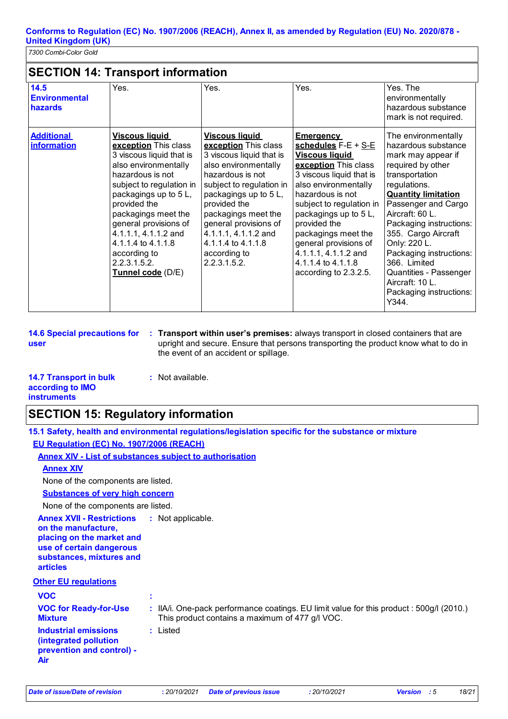## **SECTION 14: Transport information**

| 14.5<br><b>Environmental</b><br>hazards | Yes.                                                                                                                                                                                                                                                                                                                                         | Yes.                                                                                                                                                                                                                                                                                                                     | Yes.                                                                                                                                                                                                                                                                                                                                                          | Yes. The<br>environmentally<br>hazardous substance<br>mark is not required.                                                                                                                                                                                                                                                                                                                   |
|-----------------------------------------|----------------------------------------------------------------------------------------------------------------------------------------------------------------------------------------------------------------------------------------------------------------------------------------------------------------------------------------------|--------------------------------------------------------------------------------------------------------------------------------------------------------------------------------------------------------------------------------------------------------------------------------------------------------------------------|---------------------------------------------------------------------------------------------------------------------------------------------------------------------------------------------------------------------------------------------------------------------------------------------------------------------------------------------------------------|-----------------------------------------------------------------------------------------------------------------------------------------------------------------------------------------------------------------------------------------------------------------------------------------------------------------------------------------------------------------------------------------------|
| <b>Additional</b><br><i>information</i> | <b>Viscous liquid</b><br>exception This class<br>3 viscous liquid that is<br>also environmentally<br>hazardous is not<br>subject to regulation in<br>packagings up to 5L,<br>provided the<br>packagings meet the<br>general provisions of<br>4.1.1.1, 4.1.1.2 and<br>4.1.1.4 to 4.1.1.8<br>according to<br>2.2.3.1.5.2.<br>Tunnel code (D/E) | <b>Viscous liquid</b><br>exception This class<br>3 viscous liquid that is<br>also environmentally<br>hazardous is not<br>subject to regulation in<br>packagings up to 5 L,<br>provided the<br>packagings meet the<br>general provisions of<br>4.1.1.1, 4.1.1.2 and<br>4.1.1.4 to 4.1.1.8<br>according to<br>2.2.3.1.5.2. | <b>Emergency</b><br>schedules $F-E + S-E$<br><b>Viscous liquid</b><br>exception This class<br>3 viscous liquid that is<br>also environmentally<br>hazardous is not<br>subject to regulation in<br>packagings up to 5L,<br>provided the<br>packagings meet the<br>general provisions of<br>4.1.1.1, 4.1.1.2 and<br>4.1.1.4 to 4.1.1.8<br>according to 2.3.2.5. | The environmentally<br>hazardous substance<br>mark may appear if<br>required by other<br>transportation<br>regulations.<br><b>Quantity limitation</b><br>Passenger and Cargo<br>Aircraft: 60 L.<br>Packaging instructions:<br>355. Cargo Aircraft<br>Only: 220 L.<br>Packaging instructions:<br>366. Limited<br>Quantities - Passenger<br>Aircraft: 10 L.<br>Packaging instructions:<br>Y344. |

**user**

**14.6 Special precautions for Transport within user's premises:** always transport in closed containers that are **:** upright and secure. Ensure that persons transporting the product know what to do in the event of an accident or spillage.

#### **14.7 Transport in bulk according to IMO instruments :** Not available.

## **SECTION 15: Regulatory information**

|                                                                                                                                                                                   | 15.1 Safety, health and environmental regulations/legislation specific for the substance or mixture                                      |
|-----------------------------------------------------------------------------------------------------------------------------------------------------------------------------------|------------------------------------------------------------------------------------------------------------------------------------------|
| EU Regulation (EC) No. 1907/2006 (REACH)                                                                                                                                          |                                                                                                                                          |
| <b>Annex XIV - List of substances subject to authorisation</b>                                                                                                                    |                                                                                                                                          |
| <b>Annex XIV</b>                                                                                                                                                                  |                                                                                                                                          |
| None of the components are listed.                                                                                                                                                |                                                                                                                                          |
| <b>Substances of very high concern</b>                                                                                                                                            |                                                                                                                                          |
| None of the components are listed.                                                                                                                                                |                                                                                                                                          |
| <b>Annex XVII - Restrictions : Not applicable.</b><br>on the manufacture,<br>placing on the market and<br>use of certain dangerous<br>substances, mixtures and<br><b>articles</b> |                                                                                                                                          |
| <b>Other EU regulations</b>                                                                                                                                                       |                                                                                                                                          |
| <b>VOC</b>                                                                                                                                                                        | ÷                                                                                                                                        |
| <b>VOC for Ready-for-Use</b><br><b>Mixture</b>                                                                                                                                    | IIA/i. One-pack performance coatings. EU limit value for this product: 500g/l (2010.)<br>This product contains a maximum of 477 g/l VOC. |
| <b>Industrial emissions</b><br>(integrated pollution<br>prevention and control) -<br>Air                                                                                          | : Listed                                                                                                                                 |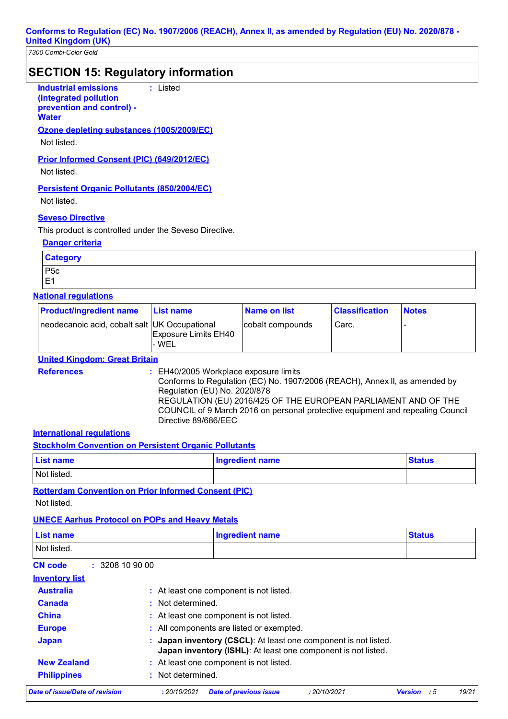### **SECTION 15: Regulatory information**

**Industrial emissions :** Listed

**(integrated pollution prevention and control) -**

**Water**

**Ozone depleting substances (1005/2009/EC)**

Not listed.

**Prior Informed Consent (PIC) (649/2012/EC)**

Not listed.

**Persistent Organic Pollutants (850/2004/EC)**

Not listed.

#### **Seveso Directive**

This product is controlled under the Seveso Directive.

#### **Danger criteria**

| <b>Category</b> |  |
|-----------------|--|
| P <sub>5c</sub> |  |
| 'E1             |  |

#### **National regulations**

| <b>Product/ingredient name</b>                | <b>List name</b>               | <b>Name on list</b> | <b>Classification</b> | <b>Notes</b> |
|-----------------------------------------------|--------------------------------|---------------------|-----------------------|--------------|
| neodecanoic acid, cobalt salt UK Occupational | Exposure Limits EH40<br>l- WEL | cobalt compounds    | Carc.                 |              |

**United Kingdom: Great Britain**

**References :** EH40/2005 Workplace exposure limits Conforms to Regulation (EC) No. 1907/2006 (REACH), Annex II, as amended by Regulation (EU) No. 2020/878 REGULATION (EU) 2016/425 OF THE EUROPEAN PARLIAMENT AND OF THE COUNCIL of 9 March 2016 on personal protective equipment and repealing Council Directive 89/686/EEC

#### **International regulations**

**Stockholm Convention on Persistent Organic Pollutants**

| <b>List name</b> | Ingredient name | <b>Status</b> |
|------------------|-----------------|---------------|
| Not listed.      |                 |               |

**Rotterdam Convention on Prior Informed Consent (PIC)**

Not listed.

#### **UNECE Aarhus Protocol on POPs and Heavy Metals**

| List name                      |                   | <b>Ingredient name</b>                                                                                                         |              | <b>Status</b>                  |
|--------------------------------|-------------------|--------------------------------------------------------------------------------------------------------------------------------|--------------|--------------------------------|
| Not listed.                    |                   |                                                                                                                                |              |                                |
| : 3208109000<br><b>CN</b> code |                   |                                                                                                                                |              |                                |
| <b>Inventory list</b>          |                   |                                                                                                                                |              |                                |
| <b>Australia</b>               |                   | : At least one component is not listed.                                                                                        |              |                                |
| Canada                         | : Not determined. |                                                                                                                                |              |                                |
| <b>China</b>                   |                   | : At least one component is not listed.                                                                                        |              |                                |
| <b>Europe</b>                  |                   | : All components are listed or exempted.                                                                                       |              |                                |
| <b>Japan</b>                   |                   | Japan inventory (CSCL): At least one component is not listed.<br>Japan inventory (ISHL): At least one component is not listed. |              |                                |
| <b>New Zealand</b>             |                   | : At least one component is not listed.                                                                                        |              |                                |
| <b>Philippines</b>             | Not determined.   |                                                                                                                                |              |                                |
| Date of issue/Date of revision | : 20/10/2021      | <b>Date of previous issue</b>                                                                                                  | : 20/10/2021 | 19/21<br>- 5<br><b>Version</b> |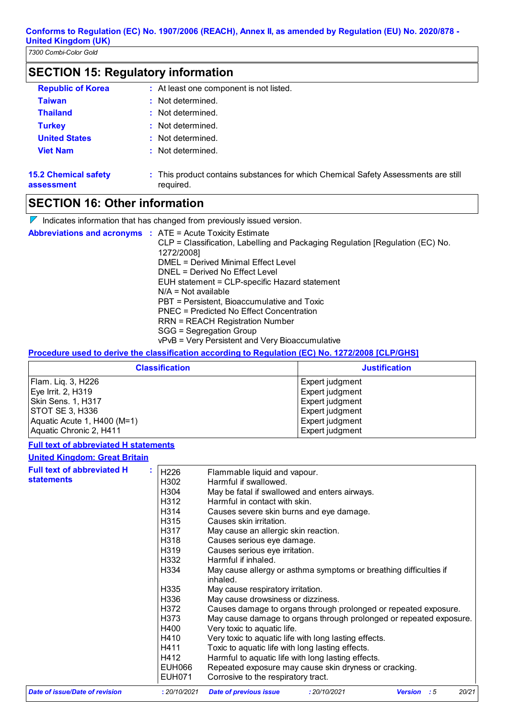## **SECTION 15: Regulatory information**

| <b>Republic of Korea</b>                  | : At least one component is not listed.                                                         |
|-------------------------------------------|-------------------------------------------------------------------------------------------------|
| <b>Taiwan</b>                             | : Not determined.                                                                               |
| <b>Thailand</b>                           | : Not determined.                                                                               |
| <b>Turkey</b>                             | : Not determined.                                                                               |
| <b>United States</b>                      | : Not determined.                                                                               |
| <b>Viet Nam</b>                           | : Not determined.                                                                               |
| <b>15.2 Chemical safety</b><br>assessment | : This product contains substances for which Chemical Safety Assessments are still<br>required. |

## **SECTION 16: Other information**

 $\nabla$  Indicates information that has changed from previously issued version.

| <b>Abbreviations and acronyms : ATE = Acute Toxicity Estimate</b> |                                                                               |
|-------------------------------------------------------------------|-------------------------------------------------------------------------------|
|                                                                   | CLP = Classification, Labelling and Packaging Regulation [Regulation (EC) No. |
|                                                                   | 1272/2008]                                                                    |
|                                                                   | DMEL = Derived Minimal Effect Level                                           |
|                                                                   | DNEL = Derived No Effect Level                                                |
|                                                                   | EUH statement = CLP-specific Hazard statement                                 |
|                                                                   | $N/A = Not available$                                                         |
|                                                                   | PBT = Persistent, Bioaccumulative and Toxic                                   |
|                                                                   | PNEC = Predicted No Effect Concentration                                      |
|                                                                   | RRN = REACH Registration Number                                               |
|                                                                   | SGG = Segregation Group                                                       |
|                                                                   | vPvB = Very Persistent and Very Bioaccumulative                               |

#### **Procedure used to derive the classification according to Regulation (EC) No. 1272/2008 [CLP/GHS]**

| <b>Classification</b>       | <b>Justification</b> |
|-----------------------------|----------------------|
| Flam. Liq. 3, H226          | Expert judgment      |
| Eye Irrit. 2, H319          | Expert judgment      |
| <b>Skin Sens. 1, H317</b>   | Expert judgment      |
| STOT SE 3, H336             | Expert judgment      |
| Aquatic Acute 1, H400 (M=1) | Expert judgment      |
| Aquatic Chronic 2, H411     | Expert judgment      |

#### **Full text of abbreviated H statements**

#### **United Kingdom: Great Britain**

| <b>Full text of abbreviated H</b> |                  |                                                                               |
|-----------------------------------|------------------|-------------------------------------------------------------------------------|
|                                   | H <sub>226</sub> | Flammable liquid and vapour.                                                  |
| <b>statements</b>                 | H302             | Harmful if swallowed.                                                         |
|                                   | H304             | May be fatal if swallowed and enters airways.                                 |
|                                   | H312             | Harmful in contact with skin.                                                 |
|                                   | H314             | Causes severe skin burns and eye damage.                                      |
|                                   | H315             | Causes skin irritation.                                                       |
|                                   | H317             | May cause an allergic skin reaction.                                          |
|                                   | H318             | Causes serious eye damage.                                                    |
|                                   | H319             | Causes serious eye irritation.                                                |
|                                   | H332             | Harmful if inhaled.                                                           |
|                                   | H334             | May cause allergy or asthma symptoms or breathing difficulties if<br>inhaled. |
|                                   | H335             | May cause respiratory irritation.                                             |
|                                   | H336             | May cause drowsiness or dizziness.                                            |
|                                   | H372             | Causes damage to organs through prolonged or repeated exposure.               |
|                                   | H373             | May cause damage to organs through prolonged or repeated exposure.            |
|                                   | H400             | Very toxic to aquatic life.                                                   |
|                                   | H410             | Very toxic to aquatic life with long lasting effects.                         |
|                                   | H411             | Toxic to aquatic life with long lasting effects.                              |
|                                   | H412             | Harmful to aquatic life with long lasting effects.                            |
|                                   | <b>EUH066</b>    | Repeated exposure may cause skin dryness or cracking.                         |
|                                   | EUH071           | Corrosive to the respiratory tract.                                           |